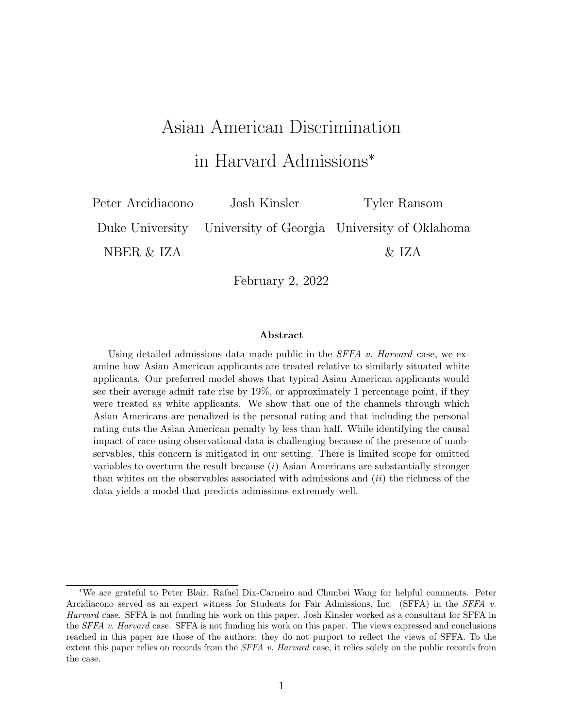# Asian American Discrimination

in Harvard Admissions<sup>∗</sup>

Peter Arcidiacono Josh Kinsler Tyler Ransom Duke University University of Georgia University of Oklahoma NBER & IZA  $\&$  IZA

February 2, 2022

#### Abstract

Using detailed admissions data made public in the  $SFFA$  v. Harvard case, we examine how Asian American applicants are treated relative to similarly situated white applicants. Our preferred model shows that typical Asian American applicants would see their average admit rate rise by 19%, or approximately 1 percentage point, if they were treated as white applicants. We show that one of the channels through which Asian Americans are penalized is the personal rating and that including the personal rating cuts the Asian American penalty by less than half. While identifying the causal impact of race using observational data is challenging because of the presence of unobservables, this concern is mitigated in our setting. There is limited scope for omitted variables to overturn the result because  $(i)$  Asian Americans are substantially stronger than whites on the observables associated with admissions and  $(ii)$  the richness of the data yields a model that predicts admissions extremely well.

<sup>∗</sup>We are grateful to Peter Blair, Rafael Dix-Carneiro and Chunbei Wang for helpful comments. Peter Arcidiacono served as an expert witness for Students for Fair Admissions, Inc. (SFFA) in the SFFA v. Harvard case. SFFA is not funding his work on this paper. Josh Kinsler worked as a consultant for SFFA in the SFFA v. Harvard case. SFFA is not funding his work on this paper. The views expressed and conclusions reached in this paper are those of the authors; they do not purport to reflect the views of SFFA. To the extent this paper relies on records from the *SFFA v. Harvard* case, it relies solely on the public records from the case.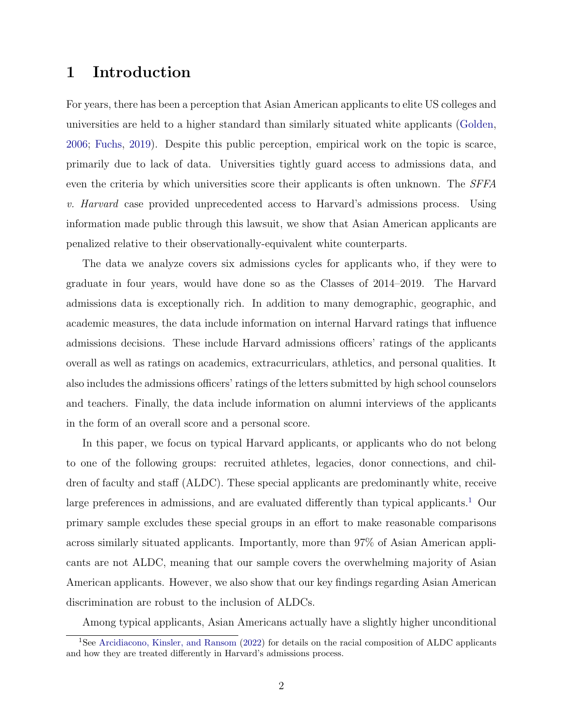### <span id="page-1-1"></span>1 Introduction

For years, there has been a perception that Asian American applicants to elite US colleges and universities are held to a higher standard than similarly situated white applicants [\(Golden,](#page-32-0) [2006;](#page-32-0) [Fuchs,](#page-32-1) [2019\)](#page-32-1). Despite this public perception, empirical work on the topic is scarce, primarily due to lack of data. Universities tightly guard access to admissions data, and even the criteria by which universities score their applicants is often unknown. The *SFFA* v. Harvard case provided unprecedented access to Harvard's admissions process. Using information made public through this lawsuit, we show that Asian American applicants are penalized relative to their observationally-equivalent white counterparts.

The data we analyze covers six admissions cycles for applicants who, if they were to graduate in four years, would have done so as the Classes of 2014–2019. The Harvard admissions data is exceptionally rich. In addition to many demographic, geographic, and academic measures, the data include information on internal Harvard ratings that influence admissions decisions. These include Harvard admissions officers' ratings of the applicants overall as well as ratings on academics, extracurriculars, athletics, and personal qualities. It also includes the admissions officers' ratings of the letters submitted by high school counselors and teachers. Finally, the data include information on alumni interviews of the applicants in the form of an overall score and a personal score.

In this paper, we focus on typical Harvard applicants, or applicants who do not belong to one of the following groups: recruited athletes, legacies, donor connections, and children of faculty and staff (ALDC). These special applicants are predominantly white, receive large preferences in admissions, and are evaluated differently than typical applicants.<sup>[1](#page-1-0)</sup> Our primary sample excludes these special groups in an effort to make reasonable comparisons across similarly situated applicants. Importantly, more than 97% of Asian American applicants are not ALDC, meaning that our sample covers the overwhelming majority of Asian American applicants. However, we also show that our key findings regarding Asian American discrimination are robust to the inclusion of ALDCs.

<span id="page-1-0"></span>Among typical applicants, Asian Americans actually have a slightly higher unconditional

<sup>&</sup>lt;sup>1</sup>See [Arcidiacono, Kinsler, and Ransom](#page-30-0) [\(2022\)](#page-30-0) for details on the racial composition of ALDC applicants and how they are treated differently in Harvard's admissions process.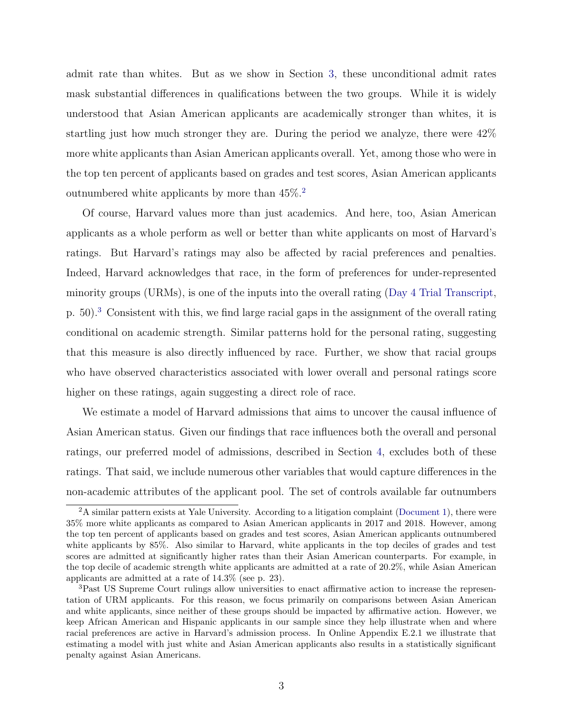<span id="page-2-2"></span>admit rate than whites. But as we show in Section [3,](#page-7-0) these unconditional admit rates mask substantial differences in qualifications between the two groups. While it is widely understood that Asian American applicants are academically stronger than whites, it is startling just how much stronger they are. During the period we analyze, there were 42% more white applicants than Asian American applicants overall. Yet, among those who were in the top ten percent of applicants based on grades and test scores, Asian American applicants outnumbered white applicants by more than 45%.[2](#page-2-0)

Of course, Harvard values more than just academics. And here, too, Asian American applicants as a whole perform as well or better than white applicants on most of Harvard's ratings. But Harvard's ratings may also be affected by racial preferences and penalties. Indeed, Harvard acknowledges that race, in the form of preferences for under-represented minority groups (URMs), is one of the inputs into the overall rating [\(Day 4 Trial Transcript,](#page-31-0) p. 50).[3](#page-2-1) Consistent with this, we find large racial gaps in the assignment of the overall rating conditional on academic strength. Similar patterns hold for the personal rating, suggesting that this measure is also directly influenced by race. Further, we show that racial groups who have observed characteristics associated with lower overall and personal ratings score higher on these ratings, again suggesting a direct role of race.

We estimate a model of Harvard admissions that aims to uncover the causal influence of Asian American status. Given our findings that race influences both the overall and personal ratings, our preferred model of admissions, described in Section [4,](#page-14-0) excludes both of these ratings. That said, we include numerous other variables that would capture differences in the non-academic attributes of the applicant pool. The set of controls available far outnumbers

<span id="page-2-0"></span> $2A \sin \theta$  similar pattern exists at Yale University. According to a litigation complaint [\(Document 1\)](#page-31-1), there were 35% more white applicants as compared to Asian American applicants in 2017 and 2018. However, among the top ten percent of applicants based on grades and test scores, Asian American applicants outnumbered white applicants by 85%. Also similar to Harvard, white applicants in the top deciles of grades and test scores are admitted at significantly higher rates than their Asian American counterparts. For example, in the top decile of academic strength white applicants are admitted at a rate of 20.2%, while Asian American applicants are admitted at a rate of 14.3% (see p. 23).

<span id="page-2-1"></span><sup>3</sup>Past US Supreme Court rulings allow universities to enact affirmative action to increase the representation of URM applicants. For this reason, we focus primarily on comparisons between Asian American and white applicants, since neither of these groups should be impacted by affirmative action. However, we keep African American and Hispanic applicants in our sample since they help illustrate when and where racial preferences are active in Harvard's admission process. In Online Appendix E.2.1 we illustrate that estimating a model with just white and Asian American applicants also results in a statistically significant penalty against Asian Americans.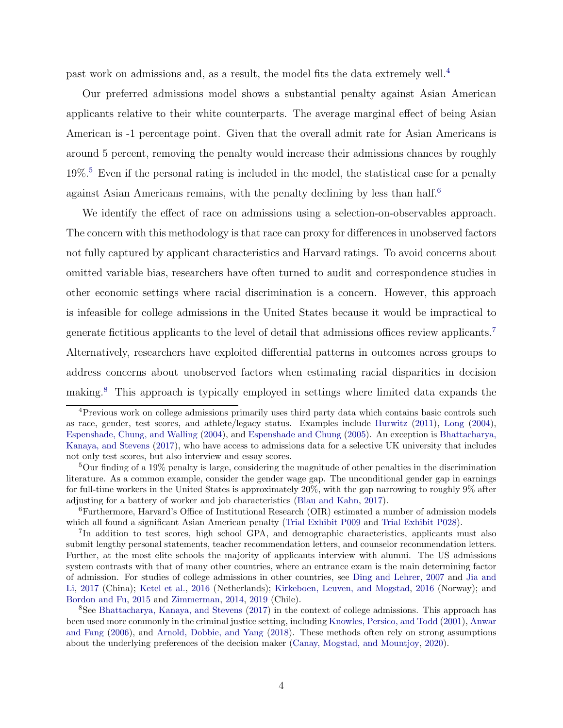<span id="page-3-5"></span>past work on admissions and, as a result, the model fits the data extremely well.[4](#page-3-0)

Our preferred admissions model shows a substantial penalty against Asian American applicants relative to their white counterparts. The average marginal effect of being Asian American is -1 percentage point. Given that the overall admit rate for Asian Americans is around 5 percent, removing the penalty would increase their admissions chances by roughly  $19\%$ <sup>[5](#page-3-1)</sup> Even if the personal rating is included in the model, the statistical case for a penalty against Asian Americans remains, with the penalty declining by less than half.<sup>[6](#page-3-2)</sup>

We identify the effect of race on admissions using a selection-on-observables approach. The concern with this methodology is that race can proxy for differences in unobserved factors not fully captured by applicant characteristics and Harvard ratings. To avoid concerns about omitted variable bias, researchers have often turned to audit and correspondence studies in other economic settings where racial discrimination is a concern. However, this approach is infeasible for college admissions in the United States because it would be impractical to generate fictitious applicants to the level of detail that admissions offices review applicants.[7](#page-3-3) Alternatively, researchers have exploited differential patterns in outcomes across groups to address concerns about unobserved factors when estimating racial disparities in decision making.[8](#page-3-4) This approach is typically employed in settings where limited data expands the

<span id="page-3-0"></span><sup>&</sup>lt;sup>4</sup>Previous work on college admissions primarily uses third party data which contains basic controls such as race, gender, test scores, and athlete/legacy status. Examples include [Hurwitz](#page-32-2) [\(2011\)](#page-32-2), [Long](#page-33-0) [\(2004\)](#page-33-0), [Espenshade, Chung, and Walling](#page-32-3) [\(2004\)](#page-32-3), and [Espenshade and Chung](#page-32-4) [\(2005\)](#page-32-4). An exception is [Bhattacharya,](#page-30-1) [Kanaya, and Stevens](#page-30-1) [\(2017\)](#page-30-1), who have access to admissions data for a selective UK university that includes not only test scores, but also interview and essay scores.

<span id="page-3-1"></span><sup>5</sup>Our finding of a 19% penalty is large, considering the magnitude of other penalties in the discrimination literature. As a common example, consider the gender wage gap. The unconditional gender gap in earnings for full-time workers in the United States is approximately 20%, with the gap narrowing to roughly 9% after adjusting for a battery of worker and job characteristics [\(Blau and Kahn,](#page-30-2) [2017\)](#page-30-2).

<span id="page-3-2"></span><sup>6</sup>Furthermore, Harvard's Office of Institutional Research (OIR) estimated a number of admission models which all found a significant Asian American penalty [\(Trial Exhibit P009](#page-33-1) and [Trial Exhibit P028\)](#page-33-2).

<span id="page-3-3"></span><sup>&</sup>lt;sup>7</sup>In addition to test scores, high school GPA, and demographic characteristics, applicants must also submit lengthy personal statements, teacher recommendation letters, and counselor recommendation letters. Further, at the most elite schools the majority of applicants interview with alumni. The US admissions system contrasts with that of many other countries, where an entrance exam is the main determining factor of admission. For studies of college admissions in other countries, see [Ding and Lehrer,](#page-31-2) [2007](#page-31-2) and [Jia and](#page-32-5) [Li,](#page-32-5) [2017](#page-32-5) (China); [Ketel et al.,](#page-32-6) [2016](#page-32-6) (Netherlands); [Kirkeboen, Leuven, and Mogstad,](#page-32-7) [2016](#page-32-7) (Norway); and [Bordon and Fu,](#page-30-3) [2015](#page-30-3) and [Zimmerman,](#page-34-0) [2014,](#page-34-0) [2019](#page-34-1) (Chile).

<span id="page-3-4"></span><sup>8</sup>See [Bhattacharya, Kanaya, and Stevens](#page-30-1) [\(2017\)](#page-30-1) in the context of college admissions. This approach has been used more commonly in the criminal justice setting, including [Knowles, Persico, and Todd](#page-32-8) [\(2001\)](#page-32-8), [Anwar](#page-30-4) [and Fang](#page-30-4) [\(2006\)](#page-30-4), and [Arnold, Dobbie, and Yang](#page-30-5) [\(2018\)](#page-30-5). These methods often rely on strong assumptions about the underlying preferences of the decision maker [\(Canay, Mogstad, and Mountjoy,](#page-30-6) [2020\)](#page-30-6).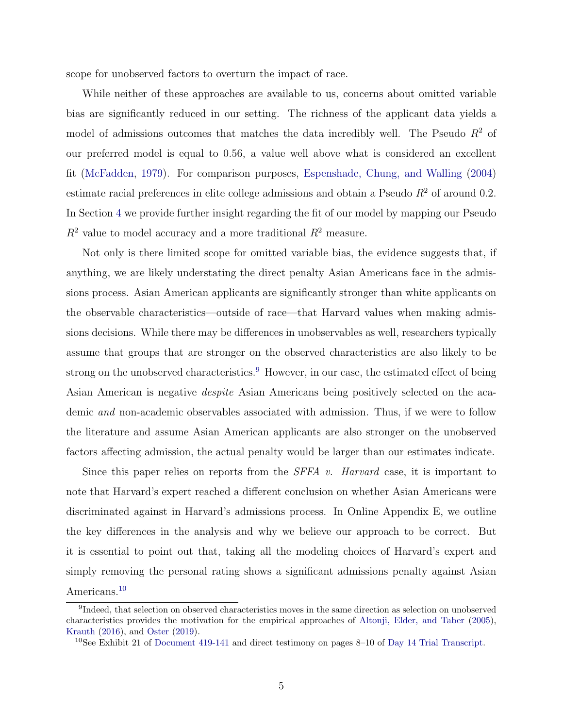<span id="page-4-2"></span>scope for unobserved factors to overturn the impact of race.

While neither of these approaches are available to us, concerns about omitted variable bias are significantly reduced in our setting. The richness of the applicant data yields a model of admissions outcomes that matches the data incredibly well. The Pseudo  $R<sup>2</sup>$  of our preferred model is equal to 0.56, a value well above what is considered an excellent fit [\(McFadden,](#page-33-3) [1979\)](#page-33-3). For comparison purposes, [Espenshade, Chung, and Walling](#page-32-3) [\(2004\)](#page-32-3) estimate racial preferences in elite college admissions and obtain a Pseudo  $R<sup>2</sup>$  of around 0.2. In Section [4](#page-14-0) we provide further insight regarding the fit of our model by mapping our Pseudo  $R^2$  value to model accuracy and a more traditional  $R^2$  measure.

Not only is there limited scope for omitted variable bias, the evidence suggests that, if anything, we are likely understating the direct penalty Asian Americans face in the admissions process. Asian American applicants are significantly stronger than white applicants on the observable characteristics—outside of race—that Harvard values when making admissions decisions. While there may be differences in unobservables as well, researchers typically assume that groups that are stronger on the observed characteristics are also likely to be strong on the unobserved characteristics.<sup>[9](#page-4-0)</sup> However, in our case, the estimated effect of being Asian American is negative despite Asian Americans being positively selected on the academic and non-academic observables associated with admission. Thus, if we were to follow the literature and assume Asian American applicants are also stronger on the unobserved factors affecting admission, the actual penalty would be larger than our estimates indicate.

Since this paper relies on reports from the *SFFA v. Harvard* case, it is important to note that Harvard's expert reached a different conclusion on whether Asian Americans were discriminated against in Harvard's admissions process. In Online Appendix E, we outline the key differences in the analysis and why we believe our approach to be correct. But it is essential to point out that, taking all the modeling choices of Harvard's expert and simply removing the personal rating shows a significant admissions penalty against Asian Americans.[10](#page-4-1)

<span id="page-4-0"></span><sup>&</sup>lt;sup>9</sup>Indeed, that selection on observed characteristics moves in the same direction as selection on unobserved characteristics provides the motivation for the empirical approaches of [Altonji, Elder, and Taber](#page-30-7) [\(2005\)](#page-30-7), [Krauth](#page-32-9) [\(2016\)](#page-32-9), and [Oster](#page-33-4) [\(2019\)](#page-33-4).

<span id="page-4-1"></span><sup>&</sup>lt;sup>10</sup>See Exhibit 21 of [Document 419-141](#page-31-3) and direct testimony on pages 8–10 of [Day 14 Trial Transcript.](#page-30-8)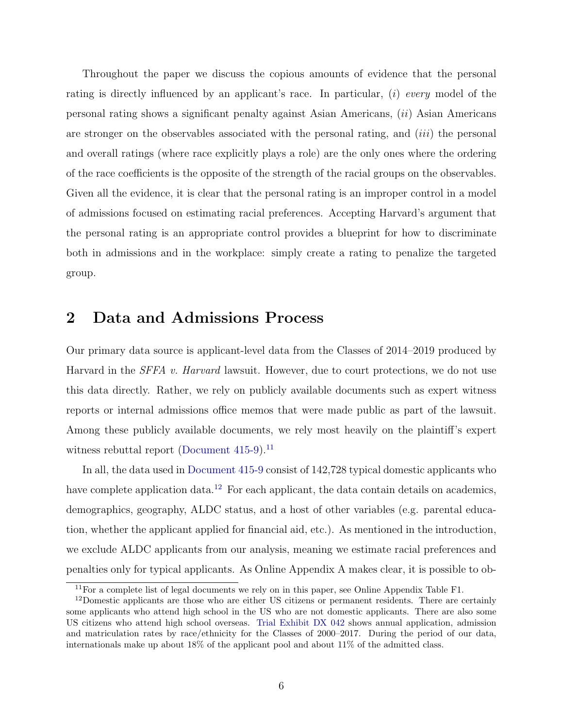<span id="page-5-2"></span>Throughout the paper we discuss the copious amounts of evidence that the personal rating is directly influenced by an applicant's race. In particular,  $(i)$  every model of the personal rating shows a significant penalty against Asian Americans, (ii) Asian Americans are stronger on the observables associated with the personal rating, and *(iii)* the personal and overall ratings (where race explicitly plays a role) are the only ones where the ordering of the race coefficients is the opposite of the strength of the racial groups on the observables. Given all the evidence, it is clear that the personal rating is an improper control in a model of admissions focused on estimating racial preferences. Accepting Harvard's argument that the personal rating is an appropriate control provides a blueprint for how to discriminate both in admissions and in the workplace: simply create a rating to penalize the targeted group.

### 2 Data and Admissions Process

Our primary data source is applicant-level data from the Classes of 2014–2019 produced by Harvard in the *SFFA v. Harvard* lawsuit. However, due to court protections, we do not use this data directly. Rather, we rely on publicly available documents such as expert witness reports or internal admissions office memos that were made public as part of the lawsuit. Among these publicly available documents, we rely most heavily on the plaintiff's expert witness rebuttal report (Document  $415-9$ ).<sup>[11](#page-5-0)</sup>

In all, the data used in [Document 415-9](#page-31-4) consist of 142,728 typical domestic applicants who have complete application data.<sup>[12](#page-5-1)</sup> For each applicant, the data contain details on academics, demographics, geography, ALDC status, and a host of other variables (e.g. parental education, whether the applicant applied for financial aid, etc.). As mentioned in the introduction, we exclude ALDC applicants from our analysis, meaning we estimate racial preferences and penalties only for typical applicants. As Online Appendix A makes clear, it is possible to ob-

<span id="page-5-1"></span><span id="page-5-0"></span><sup>&</sup>lt;sup>11</sup>For a complete list of legal documents we rely on in this paper, see Online Appendix Table F1.

<sup>&</sup>lt;sup>12</sup>Domestic applicants are those who are either US citizens or permanent residents. There are certainly some applicants who attend high school in the US who are not domestic applicants. There are also some US citizens who attend high school overseas. [Trial Exhibit DX 042](#page-33-5) shows annual application, admission and matriculation rates by race/ethnicity for the Classes of 2000–2017. During the period of our data, internationals make up about 18% of the applicant pool and about 11% of the admitted class.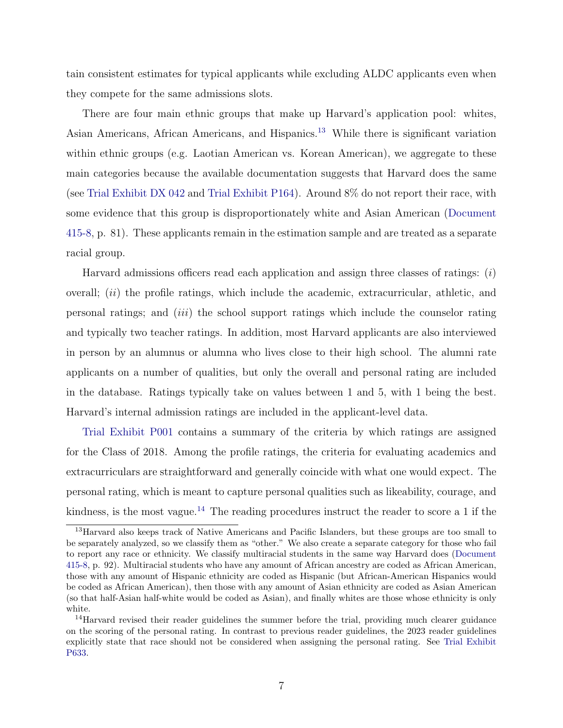<span id="page-6-2"></span>tain consistent estimates for typical applicants while excluding ALDC applicants even when they compete for the same admissions slots.

There are four main ethnic groups that make up Harvard's application pool: whites, Asian Americans, African Americans, and Hispanics.[13](#page-6-0) While there is significant variation within ethnic groups (e.g. Laotian American vs. Korean American), we aggregate to these main categories because the available documentation suggests that Harvard does the same (see [Trial Exhibit DX 042](#page-33-5) and [Trial Exhibit P164\)](#page-33-6). Around 8% do not report their race, with some evidence that this group is disproportionately white and Asian American [\(Document](#page-31-5) [415-8,](#page-31-5) p. 81). These applicants remain in the estimation sample and are treated as a separate racial group.

Harvard admissions officers read each application and assign three classes of ratings:  $(i)$ overall; *(ii)* the profile ratings, which include the academic, extracurricular, athletic, and personal ratings; and (iii) the school support ratings which include the counselor rating and typically two teacher ratings. In addition, most Harvard applicants are also interviewed in person by an alumnus or alumna who lives close to their high school. The alumni rate applicants on a number of qualities, but only the overall and personal rating are included in the database. Ratings typically take on values between 1 and 5, with 1 being the best. Harvard's internal admission ratings are included in the applicant-level data.

[Trial Exhibit P001](#page-33-7) contains a summary of the criteria by which ratings are assigned for the Class of 2018. Among the profile ratings, the criteria for evaluating academics and extracurriculars are straightforward and generally coincide with what one would expect. The personal rating, which is meant to capture personal qualities such as likeability, courage, and kindness, is the most vague.<sup>[14](#page-6-1)</sup> The reading procedures instruct the reader to score a 1 if the

<span id="page-6-0"></span><sup>13</sup>Harvard also keeps track of Native Americans and Pacific Islanders, but these groups are too small to be separately analyzed, so we classify them as "other." We also create a separate category for those who fail to report any race or ethnicity. We classify multiracial students in the same way Harvard does [\(Document](#page-31-5) [415-8,](#page-31-5) p. 92). Multiracial students who have any amount of African ancestry are coded as African American, those with any amount of Hispanic ethnicity are coded as Hispanic (but African-American Hispanics would be coded as African American), then those with any amount of Asian ethnicity are coded as Asian American (so that half-Asian half-white would be coded as Asian), and finally whites are those whose ethnicity is only white.

<span id="page-6-1"></span><sup>&</sup>lt;sup>14</sup>Harvard revised their reader guidelines the summer before the trial, providing much clearer guidance on the scoring of the personal rating. In contrast to previous reader guidelines, the 2023 reader guidelines explicitly state that race should not be considered when assigning the personal rating. See [Trial Exhibit](#page-34-2) [P633.](#page-34-2)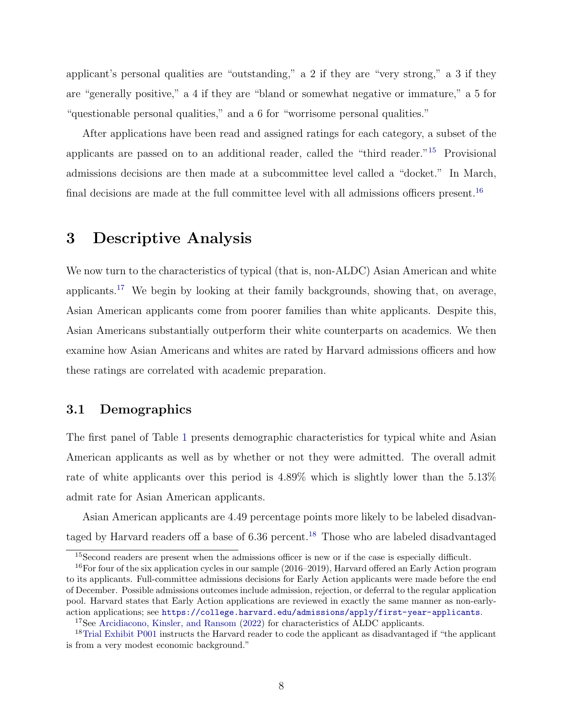<span id="page-7-5"></span>applicant's personal qualities are "outstanding," a 2 if they are "very strong," a 3 if they are "generally positive," a 4 if they are "bland or somewhat negative or immature," a 5 for "questionable personal qualities," and a 6 for "worrisome personal qualities."

After applications have been read and assigned ratings for each category, a subset of the applicants are passed on to an additional reader, called the "third reader."[15](#page-7-1) Provisional admissions decisions are then made at a subcommittee level called a "docket." In March, final decisions are made at the full committee level with all admissions officers present.<sup>[16](#page-7-2)</sup>

### <span id="page-7-0"></span>3 Descriptive Analysis

We now turn to the characteristics of typical (that is, non-ALDC) Asian American and white applicants.[17](#page-7-3) We begin by looking at their family backgrounds, showing that, on average, Asian American applicants come from poorer families than white applicants. Despite this, Asian Americans substantially outperform their white counterparts on academics. We then examine how Asian Americans and whites are rated by Harvard admissions officers and how these ratings are correlated with academic preparation.

#### 3.1 Demographics

The first panel of Table [1](#page-35-0) presents demographic characteristics for typical white and Asian American applicants as well as by whether or not they were admitted. The overall admit rate of white applicants over this period is 4.89% which is slightly lower than the 5.13% admit rate for Asian American applicants.

Asian American applicants are 4.49 percentage points more likely to be labeled disadvan-taged by Harvard readers off a base of 6.36 percent.<sup>[18](#page-7-4)</sup> Those who are labeled disadvantaged

<span id="page-7-2"></span><span id="page-7-1"></span><sup>15</sup>Second readers are present when the admissions officer is new or if the case is especially difficult.

<sup>&</sup>lt;sup>16</sup>For four of the six application cycles in our sample (2016–2019), Harvard offered an Early Action program to its applicants. Full-committee admissions decisions for Early Action applicants were made before the end of December. Possible admissions outcomes include admission, rejection, or deferral to the regular application pool. Harvard states that Early Action applications are reviewed in exactly the same manner as non-earlyaction applications; see <https://college.harvard.edu/admissions/apply/first-year-applicants>.

<span id="page-7-4"></span><span id="page-7-3"></span><sup>&</sup>lt;sup>17</sup>See [Arcidiacono, Kinsler, and Ransom](#page-30-0) [\(2022\)](#page-30-0) for characteristics of ALDC applicants.

<sup>&</sup>lt;sup>18</sup>[Trial Exhibit P001](#page-33-7) instructs the Harvard reader to code the applicant as disadvantaged if "the applicant" is from a very modest economic background."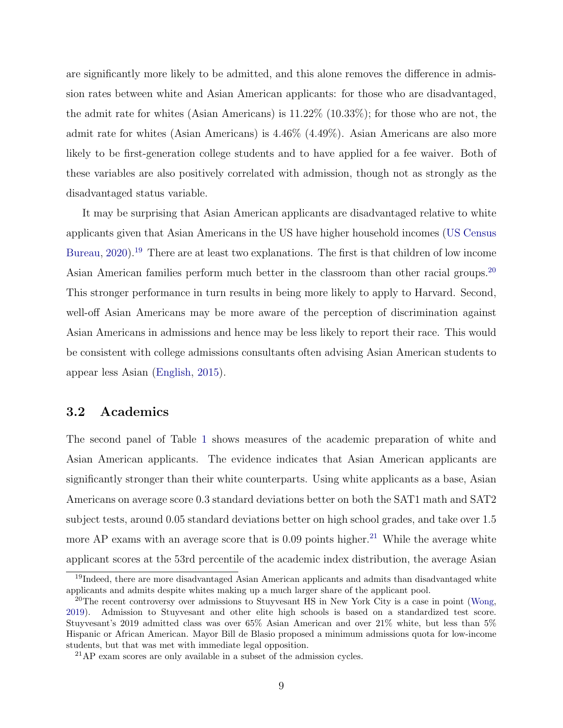<span id="page-8-3"></span>are significantly more likely to be admitted, and this alone removes the difference in admission rates between white and Asian American applicants: for those who are disadvantaged, the admit rate for whites (Asian Americans) is 11.22% (10.33%); for those who are not, the admit rate for whites (Asian Americans) is 4.46% (4.49%). Asian Americans are also more likely to be first-generation college students and to have applied for a fee waiver. Both of these variables are also positively correlated with admission, though not as strongly as the disadvantaged status variable.

It may be surprising that Asian American applicants are disadvantaged relative to white applicants given that Asian Americans in the US have higher household incomes [\(US Census](#page-34-3) [Bureau,](#page-34-3) [2020\)](#page-34-3).<sup>[19](#page-8-0)</sup> There are at least two explanations. The first is that children of low income Asian American families perform much better in the classroom than other racial groups.<sup>[20](#page-8-1)</sup> This stronger performance in turn results in being more likely to apply to Harvard. Second, well-off Asian Americans may be more aware of the perception of discrimination against Asian Americans in admissions and hence may be less likely to report their race. This would be consistent with college admissions consultants often advising Asian American students to appear less Asian [\(English,](#page-32-10) [2015\)](#page-32-10).

#### 3.2 Academics

The second panel of Table [1](#page-35-0) shows measures of the academic preparation of white and Asian American applicants. The evidence indicates that Asian American applicants are significantly stronger than their white counterparts. Using white applicants as a base, Asian Americans on average score 0.3 standard deviations better on both the SAT1 math and SAT2 subject tests, around 0.05 standard deviations better on high school grades, and take over 1.5 more AP exams with an average score that is  $0.09$  points higher.<sup>[21](#page-8-2)</sup> While the average white applicant scores at the 53rd percentile of the academic index distribution, the average Asian

<span id="page-8-0"></span><sup>&</sup>lt;sup>19</sup>Indeed, there are more disadvantaged Asian American applicants and admits than disadvantaged white applicants and admits despite whites making up a much larger share of the applicant pool.

<span id="page-8-1"></span><sup>&</sup>lt;sup>20</sup>The recent controversy over admissions to Stuyvesant HS in New York City is a case in point [\(Wong,](#page-34-4) [2019\)](#page-34-4). Admission to Stuyvesant and other elite high schools is based on a standardized test score. Stuyvesant's 2019 admitted class was over 65% Asian American and over 21% white, but less than 5% Hispanic or African American. Mayor Bill de Blasio proposed a minimum admissions quota for low-income students, but that was met with immediate legal opposition.

<span id="page-8-2"></span><sup>21</sup>AP exam scores are only available in a subset of the admission cycles.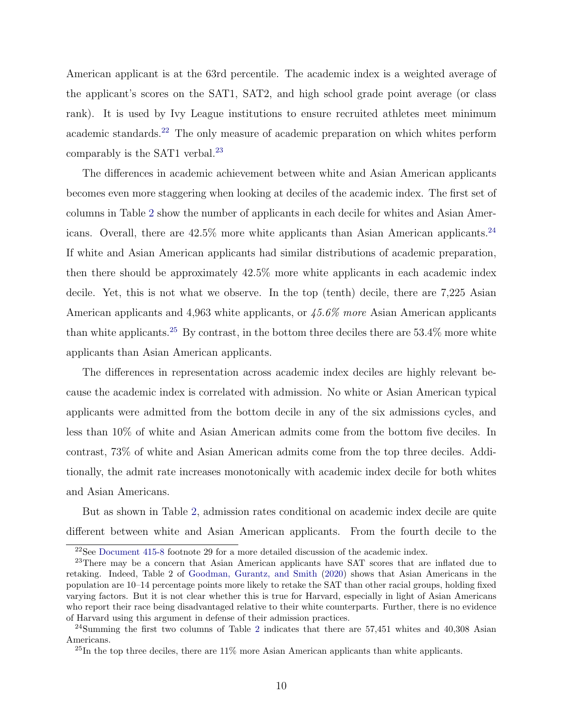<span id="page-9-4"></span>American applicant is at the 63rd percentile. The academic index is a weighted average of the applicant's scores on the SAT1, SAT2, and high school grade point average (or class rank). It is used by Ivy League institutions to ensure recruited athletes meet minimum academic standards.[22](#page-9-0) The only measure of academic preparation on which whites perform comparably is the SAT1 verbal.<sup>[23](#page-9-1)</sup>

The differences in academic achievement between white and Asian American applicants becomes even more staggering when looking at deciles of the academic index. The first set of columns in Table [2](#page-36-0) show the number of applicants in each decile for whites and Asian Americans. Overall, there are  $42.5\%$  more white applicants than Asian American applicants.<sup>[24](#page-9-2)</sup> If white and Asian American applicants had similar distributions of academic preparation, then there should be approximately 42.5% more white applicants in each academic index decile. Yet, this is not what we observe. In the top (tenth) decile, there are 7,225 Asian American applicants and 4,963 white applicants, or 45.6% more Asian American applicants than white applicants.<sup>[25](#page-9-3)</sup> By contrast, in the bottom three deciles there are  $53.4\%$  more white applicants than Asian American applicants.

The differences in representation across academic index deciles are highly relevant because the academic index is correlated with admission. No white or Asian American typical applicants were admitted from the bottom decile in any of the six admissions cycles, and less than 10% of white and Asian American admits come from the bottom five deciles. In contrast, 73% of white and Asian American admits come from the top three deciles. Additionally, the admit rate increases monotonically with academic index decile for both whites and Asian Americans.

But as shown in Table [2,](#page-36-0) admission rates conditional on academic index decile are quite different between white and Asian American applicants. From the fourth decile to the

<span id="page-9-1"></span><span id="page-9-0"></span><sup>22</sup>See [Document 415-8](#page-31-5) footnote 29 for a more detailed discussion of the academic index.

<sup>&</sup>lt;sup>23</sup>There may be a concern that Asian American applicants have SAT scores that are inflated due to retaking. Indeed, Table 2 of [Goodman, Gurantz, and Smith](#page-32-11) [\(2020\)](#page-32-11) shows that Asian Americans in the population are 10–14 percentage points more likely to retake the SAT than other racial groups, holding fixed varying factors. But it is not clear whether this is true for Harvard, especially in light of Asian Americans who report their race being disadvantaged relative to their white counterparts. Further, there is no evidence of Harvard using this argument in defense of their admission practices.

<span id="page-9-2"></span> $^{24}$  $^{24}$  $^{24}$ Summing the first two columns of Table 2 indicates that there are 57,451 whites and 40,308 Asian Americans.

<span id="page-9-3"></span> $^{25}$ In the top three deciles, there are 11% more Asian American applicants than white applicants.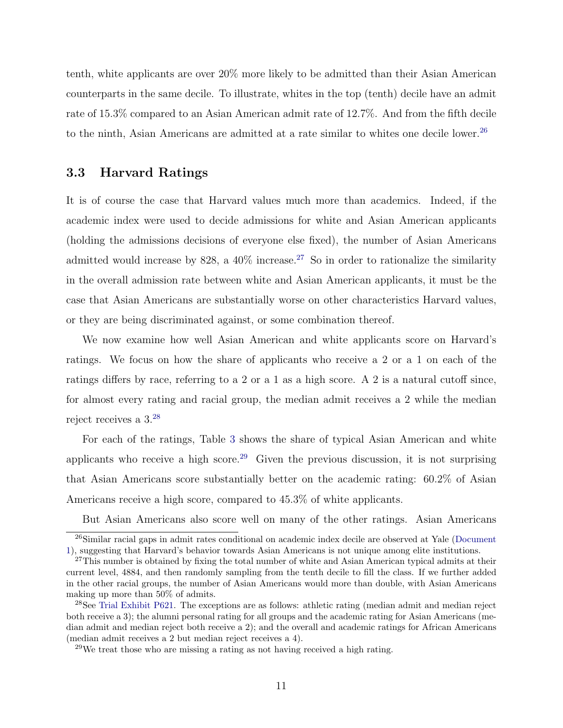<span id="page-10-4"></span>tenth, white applicants are over 20% more likely to be admitted than their Asian American counterparts in the same decile. To illustrate, whites in the top (tenth) decile have an admit rate of 15.3% compared to an Asian American admit rate of 12.7%. And from the fifth decile to the ninth, Asian Americans are admitted at a rate similar to whites one decile lower.<sup>[26](#page-10-0)</sup>

#### 3.3 Harvard Ratings

It is of course the case that Harvard values much more than academics. Indeed, if the academic index were used to decide admissions for white and Asian American applicants (holding the admissions decisions of everyone else fixed), the number of Asian Americans admitted would increase by 828, a  $40\%$  increase.<sup>[27](#page-10-1)</sup> So in order to rationalize the similarity in the overall admission rate between white and Asian American applicants, it must be the case that Asian Americans are substantially worse on other characteristics Harvard values, or they are being discriminated against, or some combination thereof.

We now examine how well Asian American and white applicants score on Harvard's ratings. We focus on how the share of applicants who receive a 2 or a 1 on each of the ratings differs by race, referring to a 2 or a 1 as a high score. A 2 is a natural cutoff since, for almost every rating and racial group, the median admit receives a 2 while the median reject receives a 3.[28](#page-10-2)

For each of the ratings, Table [3](#page-36-1) shows the share of typical Asian American and white applicants who receive a high score.<sup>[29](#page-10-3)</sup> Given the previous discussion, it is not surprising that Asian Americans score substantially better on the academic rating: 60.2% of Asian Americans receive a high score, compared to 45.3% of white applicants.

But Asian Americans also score well on many of the other ratings. Asian Americans

<span id="page-10-0"></span> $^{26}$ Similar racial gaps in admit rates conditional on academic index decile are observed at Yale [\(Document](#page-31-1) [1\)](#page-31-1), suggesting that Harvard's behavior towards Asian Americans is not unique among elite institutions.

<span id="page-10-1"></span><sup>&</sup>lt;sup>27</sup>This number is obtained by fixing the total number of white and Asian American typical admits at their current level, 4884, and then randomly sampling from the tenth decile to fill the class. If we further added in the other racial groups, the number of Asian Americans would more than double, with Asian Americans making up more than 50% of admits.

<span id="page-10-2"></span> $^{28}$ See [Trial Exhibit P621.](#page-33-8) The exceptions are as follows: athletic rating (median admit and median reject both receive a 3); the alumni personal rating for all groups and the academic rating for Asian Americans (median admit and median reject both receive a 2); and the overall and academic ratings for African Americans (median admit receives a 2 but median reject receives a 4).

<span id="page-10-3"></span> $29$ We treat those who are missing a rating as not having received a high rating.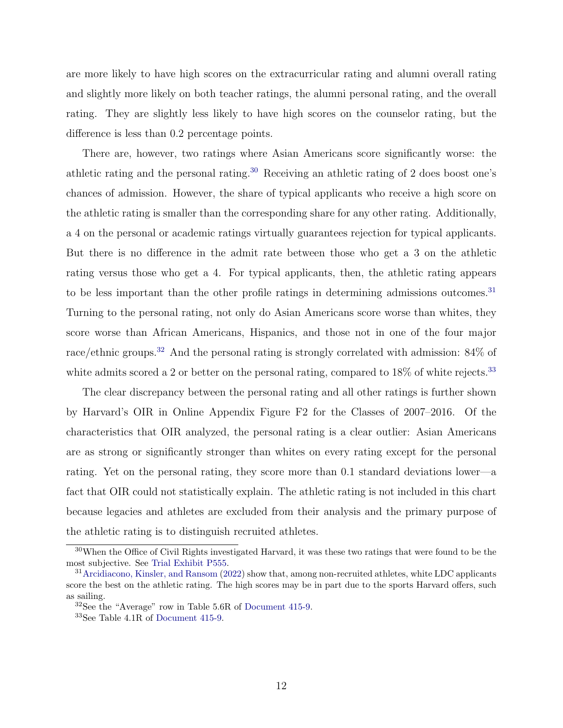<span id="page-11-4"></span>are more likely to have high scores on the extracurricular rating and alumni overall rating and slightly more likely on both teacher ratings, the alumni personal rating, and the overall rating. They are slightly less likely to have high scores on the counselor rating, but the difference is less than 0.2 percentage points.

There are, however, two ratings where Asian Americans score significantly worse: the athletic rating and the personal rating.[30](#page-11-0) Receiving an athletic rating of 2 does boost one's chances of admission. However, the share of typical applicants who receive a high score on the athletic rating is smaller than the corresponding share for any other rating. Additionally, a 4 on the personal or academic ratings virtually guarantees rejection for typical applicants. But there is no difference in the admit rate between those who get a 3 on the athletic rating versus those who get a 4. For typical applicants, then, the athletic rating appears to be less important than the other profile ratings in determining admissions outcomes.<sup>[31](#page-11-1)</sup> Turning to the personal rating, not only do Asian Americans score worse than whites, they score worse than African Americans, Hispanics, and those not in one of the four major race/ethnic groups.<sup>[32](#page-11-2)</sup> And the personal rating is strongly correlated with admission: 84% of white admits scored a 2 or better on the personal rating, compared to  $18\%$  of white rejects.<sup>[33](#page-11-3)</sup>

The clear discrepancy between the personal rating and all other ratings is further shown by Harvard's OIR in Online Appendix Figure F2 for the Classes of 2007–2016. Of the characteristics that OIR analyzed, the personal rating is a clear outlier: Asian Americans are as strong or significantly stronger than whites on every rating except for the personal rating. Yet on the personal rating, they score more than 0.1 standard deviations lower—a fact that OIR could not statistically explain. The athletic rating is not included in this chart because legacies and athletes are excluded from their analysis and the primary purpose of the athletic rating is to distinguish recruited athletes.

<span id="page-11-0"></span><sup>30</sup>When the Office of Civil Rights investigated Harvard, it was these two ratings that were found to be the most subjective. See [Trial Exhibit P555.](#page-33-9)

<span id="page-11-1"></span> $31$  [Arcidiacono, Kinsler, and Ransom](#page-30-0) [\(2022\)](#page-30-0) show that, among non-recruited athletes, white LDC applicants score the best on the athletic rating. The high scores may be in part due to the sports Harvard offers, such as sailing.

<span id="page-11-2"></span><sup>32</sup>See the "Average" row in Table 5.6R of [Document 415-9.](#page-31-4)

<span id="page-11-3"></span><sup>33</sup>See Table 4.1R of [Document 415-9.](#page-31-4)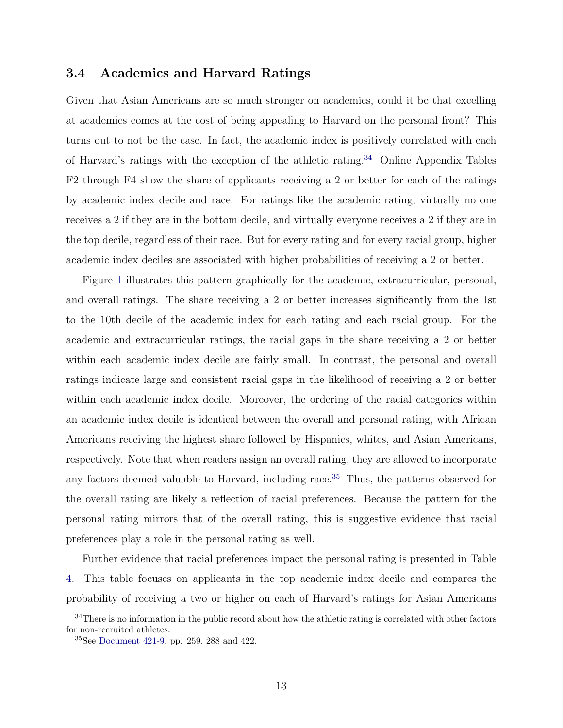### <span id="page-12-2"></span>3.4 Academics and Harvard Ratings

Given that Asian Americans are so much stronger on academics, could it be that excelling at academics comes at the cost of being appealing to Harvard on the personal front? This turns out to not be the case. In fact, the academic index is positively correlated with each of Harvard's ratings with the exception of the athletic rating.<sup>[34](#page-12-0)</sup> Online Appendix Tables F2 through F4 show the share of applicants receiving a 2 or better for each of the ratings by academic index decile and race. For ratings like the academic rating, virtually no one receives a 2 if they are in the bottom decile, and virtually everyone receives a 2 if they are in the top decile, regardless of their race. But for every rating and for every racial group, higher academic index deciles are associated with higher probabilities of receiving a 2 or better.

Figure [1](#page-37-0) illustrates this pattern graphically for the academic, extracurricular, personal, and overall ratings. The share receiving a 2 or better increases significantly from the 1st to the 10th decile of the academic index for each rating and each racial group. For the academic and extracurricular ratings, the racial gaps in the share receiving a 2 or better within each academic index decile are fairly small. In contrast, the personal and overall ratings indicate large and consistent racial gaps in the likelihood of receiving a 2 or better within each academic index decile. Moreover, the ordering of the racial categories within an academic index decile is identical between the overall and personal rating, with African Americans receiving the highest share followed by Hispanics, whites, and Asian Americans, respectively. Note that when readers assign an overall rating, they are allowed to incorporate any factors deemed valuable to Harvard, including race.[35](#page-12-1) Thus, the patterns observed for the overall rating are likely a reflection of racial preferences. Because the pattern for the personal rating mirrors that of the overall rating, this is suggestive evidence that racial preferences play a role in the personal rating as well.

Further evidence that racial preferences impact the personal rating is presented in Table [4.](#page-38-0) This table focuses on applicants in the top academic index decile and compares the probability of receiving a two or higher on each of Harvard's ratings for Asian Americans

<span id="page-12-0"></span><sup>&</sup>lt;sup>34</sup>There is no information in the public record about how the athletic rating is correlated with other factors for non-recruited athletes.

<span id="page-12-1"></span><sup>35</sup>See [Document 421-9,](#page-31-6) pp. 259, 288 and 422.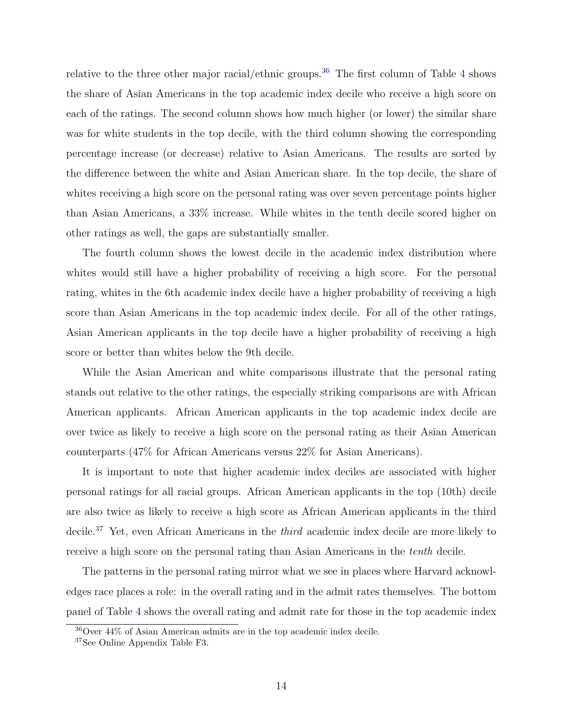relative to the three other major racial/ethnic groups.<sup>[36](#page-13-0)</sup> The first column of Table [4](#page-38-0) shows the share of Asian Americans in the top academic index decile who receive a high score on each of the ratings. The second column shows how much higher (or lower) the similar share was for white students in the top decile, with the third column showing the corresponding percentage increase (or decrease) relative to Asian Americans. The results are sorted by the difference between the white and Asian American share. In the top decile, the share of whites receiving a high score on the personal rating was over seven percentage points higher than Asian Americans, a 33% increase. While whites in the tenth decile scored higher on other ratings as well, the gaps are substantially smaller.

The fourth column shows the lowest decile in the academic index distribution where whites would still have a higher probability of receiving a high score. For the personal rating, whites in the 6th academic index decile have a higher probability of receiving a high score than Asian Americans in the top academic index decile. For all of the other ratings, Asian American applicants in the top decile have a higher probability of receiving a high score or better than whites below the 9th decile.

While the Asian American and white comparisons illustrate that the personal rating stands out relative to the other ratings, the especially striking comparisons are with African American applicants. African American applicants in the top academic index decile are over twice as likely to receive a high score on the personal rating as their Asian American counterparts (47% for African Americans versus 22% for Asian Americans).

It is important to note that higher academic index deciles are associated with higher personal ratings for all racial groups. African American applicants in the top (10th) decile are also twice as likely to receive a high score as African American applicants in the third decile.[37](#page-13-1) Yet, even African Americans in the third academic index decile are more likely to receive a high score on the personal rating than Asian Americans in the tenth decile.

The patterns in the personal rating mirror what we see in places where Harvard acknowledges race places a role: in the overall rating and in the admit rates themselves. The bottom panel of Table [4](#page-38-0) shows the overall rating and admit rate for those in the top academic index

<span id="page-13-0"></span><sup>36</sup>Over 44% of Asian American admits are in the top academic index decile.

<span id="page-13-1"></span><sup>37</sup>See Online Appendix Table F3.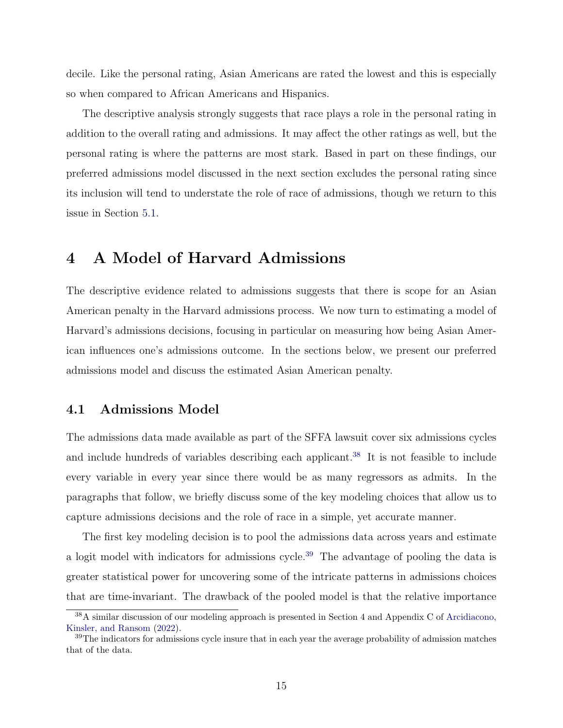<span id="page-14-3"></span>decile. Like the personal rating, Asian Americans are rated the lowest and this is especially so when compared to African Americans and Hispanics.

The descriptive analysis strongly suggests that race plays a role in the personal rating in addition to the overall rating and admissions. It may affect the other ratings as well, but the personal rating is where the patterns are most stark. Based in part on these findings, our preferred admissions model discussed in the next section excludes the personal rating since its inclusion will tend to understate the role of race of admissions, though we return to this issue in Section [5.1.](#page-19-0)

## <span id="page-14-0"></span>4 A Model of Harvard Admissions

The descriptive evidence related to admissions suggests that there is scope for an Asian American penalty in the Harvard admissions process. We now turn to estimating a model of Harvard's admissions decisions, focusing in particular on measuring how being Asian American influences one's admissions outcome. In the sections below, we present our preferred admissions model and discuss the estimated Asian American penalty.

#### 4.1 Admissions Model

The admissions data made available as part of the SFFA lawsuit cover six admissions cycles and include hundreds of variables describing each applicant.<sup>[38](#page-14-1)</sup> It is not feasible to include every variable in every year since there would be as many regressors as admits. In the paragraphs that follow, we briefly discuss some of the key modeling choices that allow us to capture admissions decisions and the role of race in a simple, yet accurate manner.

The first key modeling decision is to pool the admissions data across years and estimate a logit model with indicators for admissions cycle.<sup>[39](#page-14-2)</sup> The advantage of pooling the data is greater statistical power for uncovering some of the intricate patterns in admissions choices that are time-invariant. The drawback of the pooled model is that the relative importance

<span id="page-14-1"></span><sup>38</sup>A similar discussion of our modeling approach is presented in Section 4 and Appendix C of [Arcidiacono,](#page-30-0) [Kinsler, and Ransom](#page-30-0) [\(2022\)](#page-30-0).

<span id="page-14-2"></span><sup>&</sup>lt;sup>39</sup>The indicators for admissions cycle insure that in each year the average probability of admission matches that of the data.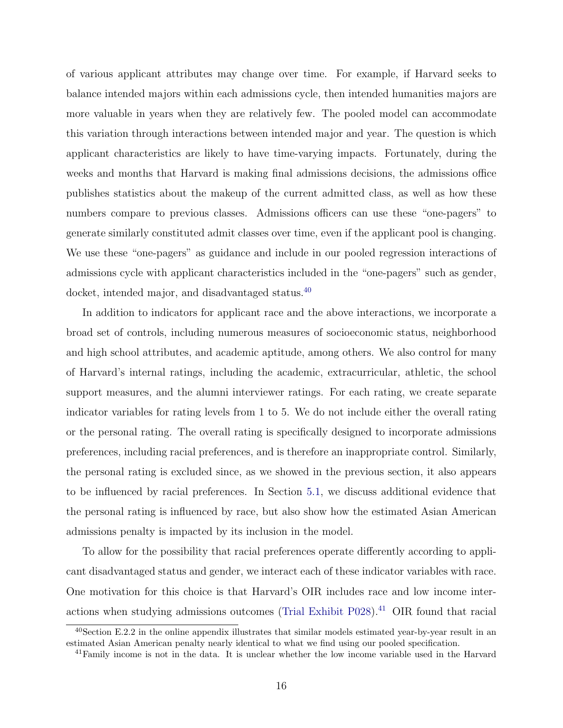<span id="page-15-2"></span>of various applicant attributes may change over time. For example, if Harvard seeks to balance intended majors within each admissions cycle, then intended humanities majors are more valuable in years when they are relatively few. The pooled model can accommodate this variation through interactions between intended major and year. The question is which applicant characteristics are likely to have time-varying impacts. Fortunately, during the weeks and months that Harvard is making final admissions decisions, the admissions office publishes statistics about the makeup of the current admitted class, as well as how these numbers compare to previous classes. Admissions officers can use these "one-pagers" to generate similarly constituted admit classes over time, even if the applicant pool is changing. We use these "one-pagers" as guidance and include in our pooled regression interactions of admissions cycle with applicant characteristics included in the "one-pagers" such as gender, docket, intended major, and disadvantaged status.<sup>[40](#page-15-0)</sup>

In addition to indicators for applicant race and the above interactions, we incorporate a broad set of controls, including numerous measures of socioeconomic status, neighborhood and high school attributes, and academic aptitude, among others. We also control for many of Harvard's internal ratings, including the academic, extracurricular, athletic, the school support measures, and the alumni interviewer ratings. For each rating, we create separate indicator variables for rating levels from 1 to 5. We do not include either the overall rating or the personal rating. The overall rating is specifically designed to incorporate admissions preferences, including racial preferences, and is therefore an inappropriate control. Similarly, the personal rating is excluded since, as we showed in the previous section, it also appears to be influenced by racial preferences. In Section [5.1,](#page-19-0) we discuss additional evidence that the personal rating is influenced by race, but also show how the estimated Asian American admissions penalty is impacted by its inclusion in the model.

To allow for the possibility that racial preferences operate differently according to applicant disadvantaged status and gender, we interact each of these indicator variables with race. One motivation for this choice is that Harvard's OIR includes race and low income inter-actions when studying admissions outcomes [\(Trial Exhibit P028\)](#page-33-2).<sup>[41](#page-15-1)</sup> OIR found that racial

<span id="page-15-0"></span> $^{40}$ Section E.2.2 in the online appendix illustrates that similar models estimated year-by-year result in an estimated Asian American penalty nearly identical to what we find using our pooled specification.

<span id="page-15-1"></span> $^{41}$ Family income is not in the data. It is unclear whether the low income variable used in the Harvard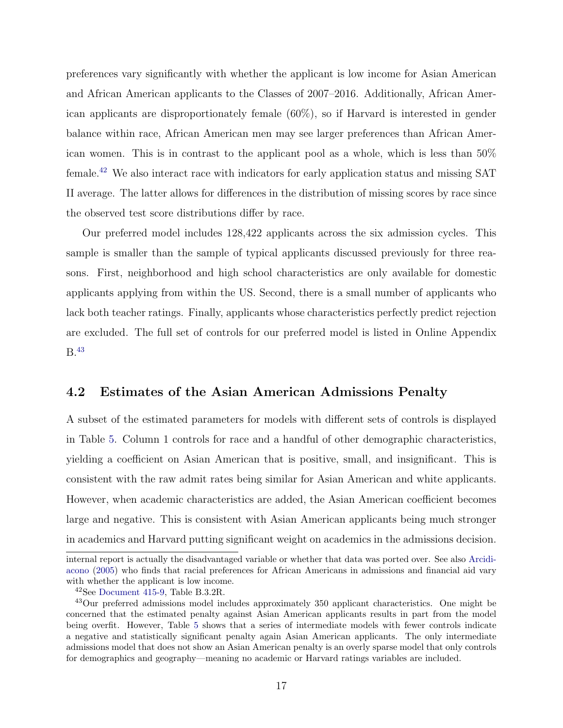<span id="page-16-2"></span>preferences vary significantly with whether the applicant is low income for Asian American and African American applicants to the Classes of 2007–2016. Additionally, African American applicants are disproportionately female (60%), so if Harvard is interested in gender balance within race, African American men may see larger preferences than African American women. This is in contrast to the applicant pool as a whole, which is less than 50% female.[42](#page-16-0) We also interact race with indicators for early application status and missing SAT II average. The latter allows for differences in the distribution of missing scores by race since the observed test score distributions differ by race.

Our preferred model includes 128,422 applicants across the six admission cycles. This sample is smaller than the sample of typical applicants discussed previously for three reasons. First, neighborhood and high school characteristics are only available for domestic applicants applying from within the US. Second, there is a small number of applicants who lack both teacher ratings. Finally, applicants whose characteristics perfectly predict rejection are excluded. The full set of controls for our preferred model is listed in Online Appendix B.[43](#page-16-1)

#### 4.2 Estimates of the Asian American Admissions Penalty

A subset of the estimated parameters for models with different sets of controls is displayed in Table [5.](#page-39-0) Column 1 controls for race and a handful of other demographic characteristics, yielding a coefficient on Asian American that is positive, small, and insignificant. This is consistent with the raw admit rates being similar for Asian American and white applicants. However, when academic characteristics are added, the Asian American coefficient becomes large and negative. This is consistent with Asian American applicants being much stronger in academics and Harvard putting significant weight on academics in the admissions decision.

internal report is actually the disadvantaged variable or whether that data was ported over. See also [Arcidi](#page-30-9)[acono](#page-30-9) [\(2005\)](#page-30-9) who finds that racial preferences for African Americans in admissions and financial aid vary with whether the applicant is low income.

<span id="page-16-1"></span><span id="page-16-0"></span><sup>42</sup>See [Document 415-9,](#page-31-4) Table B.3.2R.

<sup>43</sup>Our preferred admissions model includes approximately 350 applicant characteristics. One might be concerned that the estimated penalty against Asian American applicants results in part from the model being overfit. However, Table [5](#page-39-0) shows that a series of intermediate models with fewer controls indicate a negative and statistically significant penalty again Asian American applicants. The only intermediate admissions model that does not show an Asian American penalty is an overly sparse model that only controls for demographics and geography—meaning no academic or Harvard ratings variables are included.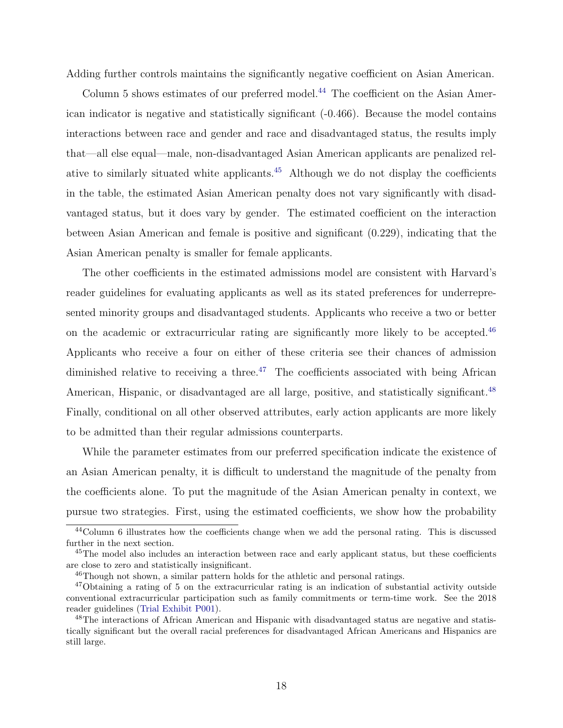<span id="page-17-5"></span>Adding further controls maintains the significantly negative coefficient on Asian American.

Column 5 shows estimates of our preferred model.<sup>[44](#page-17-0)</sup> The coefficient on the Asian American indicator is negative and statistically significant (-0.466). Because the model contains interactions between race and gender and race and disadvantaged status, the results imply that—all else equal—male, non-disadvantaged Asian American applicants are penalized relative to similarly situated white applicants. $45$  Although we do not display the coefficients in the table, the estimated Asian American penalty does not vary significantly with disadvantaged status, but it does vary by gender. The estimated coefficient on the interaction between Asian American and female is positive and significant (0.229), indicating that the Asian American penalty is smaller for female applicants.

The other coefficients in the estimated admissions model are consistent with Harvard's reader guidelines for evaluating applicants as well as its stated preferences for underrepresented minority groups and disadvantaged students. Applicants who receive a two or better on the academic or extracurricular rating are significantly more likely to be accepted.<sup>[46](#page-17-2)</sup> Applicants who receive a four on either of these criteria see their chances of admission diminished relative to receiving a three.<sup>[47](#page-17-3)</sup> The coefficients associated with being African American, Hispanic, or disadvantaged are all large, positive, and statistically significant.<sup>[48](#page-17-4)</sup> Finally, conditional on all other observed attributes, early action applicants are more likely to be admitted than their regular admissions counterparts.

While the parameter estimates from our preferred specification indicate the existence of an Asian American penalty, it is difficult to understand the magnitude of the penalty from the coefficients alone. To put the magnitude of the Asian American penalty in context, we pursue two strategies. First, using the estimated coefficients, we show how the probability

<span id="page-17-0"></span><sup>44</sup>Column 6 illustrates how the coefficients change when we add the personal rating. This is discussed further in the next section.

<span id="page-17-1"></span><sup>&</sup>lt;sup>45</sup>The model also includes an interaction between race and early applicant status, but these coefficients are close to zero and statistically insignificant.

<span id="page-17-3"></span><span id="page-17-2"></span><sup>46</sup>Though not shown, a similar pattern holds for the athletic and personal ratings.

<sup>&</sup>lt;sup>47</sup>Obtaining a rating of 5 on the extracurricular rating is an indication of substantial activity outside conventional extracurricular participation such as family commitments or term-time work. See the 2018 reader guidelines [\(Trial Exhibit P001\)](#page-33-7).

<span id="page-17-4"></span><sup>&</sup>lt;sup>48</sup>The interactions of African American and Hispanic with disadvantaged status are negative and statistically significant but the overall racial preferences for disadvantaged African Americans and Hispanics are still large.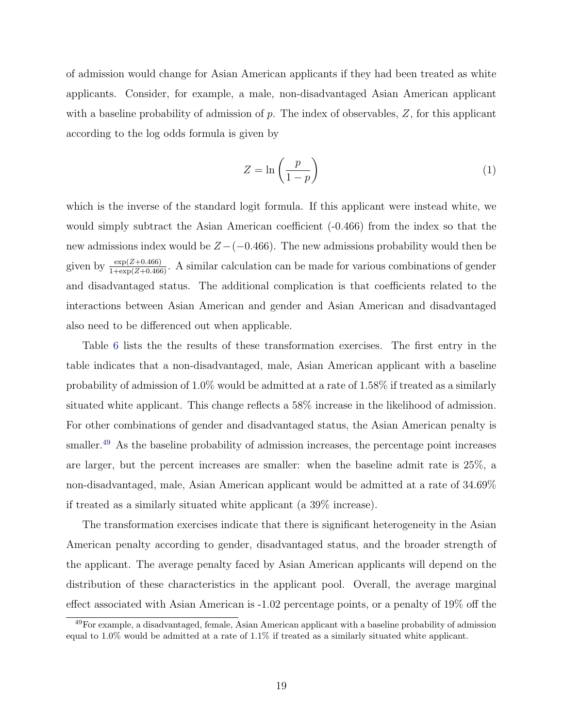of admission would change for Asian American applicants if they had been treated as white applicants. Consider, for example, a male, non-disadvantaged Asian American applicant with a baseline probability of admission of p. The index of observables,  $Z$ , for this applicant according to the log odds formula is given by

<span id="page-18-1"></span>
$$
Z = \ln\left(\frac{p}{1-p}\right) \tag{1}
$$

which is the inverse of the standard logit formula. If this applicant were instead white, we would simply subtract the Asian American coefficient (-0.466) from the index so that the new admissions index would be  $Z-(-0.466)$ . The new admissions probability would then be given by  $\frac{\exp(Z+0.466)}{1+\exp(Z+0.466)}$ . A similar calculation can be made for various combinations of gender and disadvantaged status. The additional complication is that coefficients related to the interactions between Asian American and gender and Asian American and disadvantaged also need to be differenced out when applicable.

Table [6](#page-40-0) lists the the results of these transformation exercises. The first entry in the table indicates that a non-disadvantaged, male, Asian American applicant with a baseline probability of admission of 1.0% would be admitted at a rate of 1.58% if treated as a similarly situated white applicant. This change reflects a 58% increase in the likelihood of admission. For other combinations of gender and disadvantaged status, the Asian American penalty is smaller.<sup>[49](#page-18-0)</sup> As the baseline probability of admission increases, the percentage point increases are larger, but the percent increases are smaller: when the baseline admit rate is 25%, a non-disadvantaged, male, Asian American applicant would be admitted at a rate of 34.69% if treated as a similarly situated white applicant (a 39% increase).

The transformation exercises indicate that there is significant heterogeneity in the Asian American penalty according to gender, disadvantaged status, and the broader strength of the applicant. The average penalty faced by Asian American applicants will depend on the distribution of these characteristics in the applicant pool. Overall, the average marginal effect associated with Asian American is -1.02 percentage points, or a penalty of 19% off the

<span id="page-18-0"></span><sup>49</sup>For example, a disadvantaged, female, Asian American applicant with a baseline probability of admission equal to 1.0% would be admitted at a rate of 1.1% if treated as a similarly situated white applicant.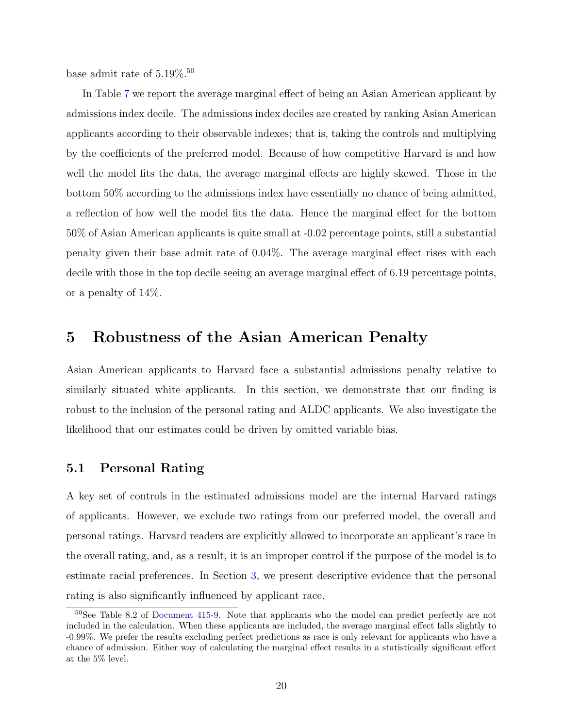<span id="page-19-2"></span>base admit rate of  $5.19\%$ .<sup>[50](#page-19-1)</sup>

In Table [7](#page-40-1) we report the average marginal effect of being an Asian American applicant by admissions index decile. The admissions index deciles are created by ranking Asian American applicants according to their observable indexes; that is, taking the controls and multiplying by the coefficients of the preferred model. Because of how competitive Harvard is and how well the model fits the data, the average marginal effects are highly skewed. Those in the bottom 50% according to the admissions index have essentially no chance of being admitted, a reflection of how well the model fits the data. Hence the marginal effect for the bottom 50% of Asian American applicants is quite small at -0.02 percentage points, still a substantial penalty given their base admit rate of 0.04%. The average marginal effect rises with each decile with those in the top decile seeing an average marginal effect of 6.19 percentage points, or a penalty of 14%.

### 5 Robustness of the Asian American Penalty

Asian American applicants to Harvard face a substantial admissions penalty relative to similarly situated white applicants. In this section, we demonstrate that our finding is robust to the inclusion of the personal rating and ALDC applicants. We also investigate the likelihood that our estimates could be driven by omitted variable bias.

#### <span id="page-19-0"></span>5.1 Personal Rating

A key set of controls in the estimated admissions model are the internal Harvard ratings of applicants. However, we exclude two ratings from our preferred model, the overall and personal ratings. Harvard readers are explicitly allowed to incorporate an applicant's race in the overall rating, and, as a result, it is an improper control if the purpose of the model is to estimate racial preferences. In Section [3,](#page-7-0) we present descriptive evidence that the personal rating is also significantly influenced by applicant race.

<span id="page-19-1"></span><sup>50</sup>See Table 8.2 of [Document 415-9.](#page-31-4) Note that applicants who the model can predict perfectly are not included in the calculation. When these applicants are included, the average marginal effect falls slightly to -0.99%. We prefer the results excluding perfect predictions as race is only relevant for applicants who have a chance of admission. Either way of calculating the marginal effect results in a statistically significant effect at the 5% level.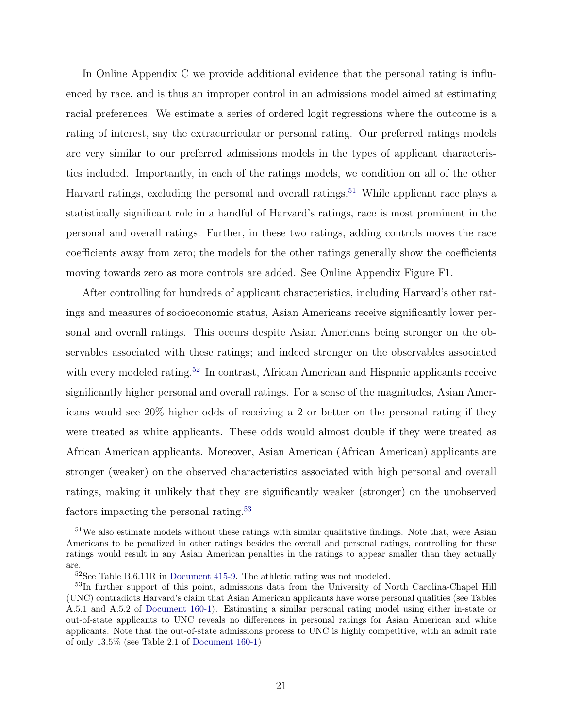<span id="page-20-3"></span>In Online Appendix C we provide additional evidence that the personal rating is influenced by race, and is thus an improper control in an admissions model aimed at estimating racial preferences. We estimate a series of ordered logit regressions where the outcome is a rating of interest, say the extracurricular or personal rating. Our preferred ratings models are very similar to our preferred admissions models in the types of applicant characteristics included. Importantly, in each of the ratings models, we condition on all of the other Harvard ratings, excluding the personal and overall ratings.<sup>[51](#page-20-0)</sup> While applicant race plays a statistically significant role in a handful of Harvard's ratings, race is most prominent in the personal and overall ratings. Further, in these two ratings, adding controls moves the race coefficients away from zero; the models for the other ratings generally show the coefficients moving towards zero as more controls are added. See Online Appendix Figure F1.

After controlling for hundreds of applicant characteristics, including Harvard's other ratings and measures of socioeconomic status, Asian Americans receive significantly lower personal and overall ratings. This occurs despite Asian Americans being stronger on the observables associated with these ratings; and indeed stronger on the observables associated with every modeled rating.<sup>[52](#page-20-1)</sup> In contrast, African American and Hispanic applicants receive significantly higher personal and overall ratings. For a sense of the magnitudes, Asian Americans would see 20% higher odds of receiving a 2 or better on the personal rating if they were treated as white applicants. These odds would almost double if they were treated as African American applicants. Moreover, Asian American (African American) applicants are stronger (weaker) on the observed characteristics associated with high personal and overall ratings, making it unlikely that they are significantly weaker (stronger) on the unobserved factors impacting the personal rating.[53](#page-20-2)

<span id="page-20-0"></span><sup>51</sup>We also estimate models without these ratings with similar qualitative findings. Note that, were Asian Americans to be penalized in other ratings besides the overall and personal ratings, controlling for these ratings would result in any Asian American penalties in the ratings to appear smaller than they actually are.

<span id="page-20-2"></span><span id="page-20-1"></span><sup>52</sup>See Table B.6.11R in [Document 415-9.](#page-31-4) The athletic rating was not modeled.

<sup>53</sup>In further support of this point, admissions data from the University of North Carolina-Chapel Hill (UNC) contradicts Harvard's claim that Asian American applicants have worse personal qualities (see Tables A.5.1 and A.5.2 of [Document 160-1\)](#page-31-7). Estimating a similar personal rating model using either in-state or out-of-state applicants to UNC reveals no differences in personal ratings for Asian American and white applicants. Note that the out-of-state admissions process to UNC is highly competitive, with an admit rate of only 13.5% (see Table 2.1 of [Document 160-1\)](#page-31-7)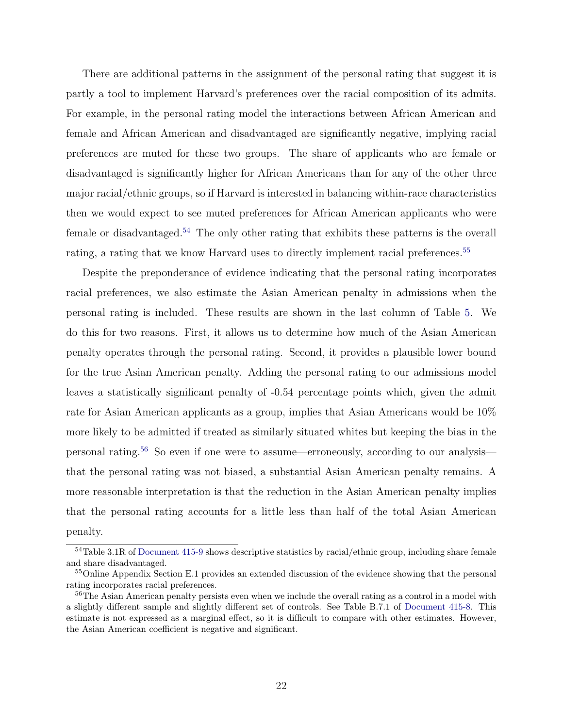<span id="page-21-3"></span>There are additional patterns in the assignment of the personal rating that suggest it is partly a tool to implement Harvard's preferences over the racial composition of its admits. For example, in the personal rating model the interactions between African American and female and African American and disadvantaged are significantly negative, implying racial preferences are muted for these two groups. The share of applicants who are female or disadvantaged is significantly higher for African Americans than for any of the other three major racial/ethnic groups, so if Harvard is interested in balancing within-race characteristics then we would expect to see muted preferences for African American applicants who were female or disadvantaged.[54](#page-21-0) The only other rating that exhibits these patterns is the overall rating, a rating that we know Harvard uses to directly implement racial preferences.<sup>[55](#page-21-1)</sup>

Despite the preponderance of evidence indicating that the personal rating incorporates racial preferences, we also estimate the Asian American penalty in admissions when the personal rating is included. These results are shown in the last column of Table [5.](#page-39-0) We do this for two reasons. First, it allows us to determine how much of the Asian American penalty operates through the personal rating. Second, it provides a plausible lower bound for the true Asian American penalty. Adding the personal rating to our admissions model leaves a statistically significant penalty of -0.54 percentage points which, given the admit rate for Asian American applicants as a group, implies that Asian Americans would be 10% more likely to be admitted if treated as similarly situated whites but keeping the bias in the personal rating.[56](#page-21-2) So even if one were to assume—erroneously, according to our analysis that the personal rating was not biased, a substantial Asian American penalty remains. A more reasonable interpretation is that the reduction in the Asian American penalty implies that the personal rating accounts for a little less than half of the total Asian American penalty.

<span id="page-21-0"></span><sup>54</sup>Table 3.1R of [Document 415-9](#page-31-4) shows descriptive statistics by racial/ethnic group, including share female and share disadvantaged.

<span id="page-21-1"></span><sup>&</sup>lt;sup>55</sup>Online Appendix Section E.1 provides an extended discussion of the evidence showing that the personal rating incorporates racial preferences.

<span id="page-21-2"></span> $56$ The Asian American penalty persists even when we include the overall rating as a control in a model with a slightly different sample and slightly different set of controls. See Table B.7.1 of [Document 415-8.](#page-31-5) This estimate is not expressed as a marginal effect, so it is difficult to compare with other estimates. However, the Asian American coefficient is negative and significant.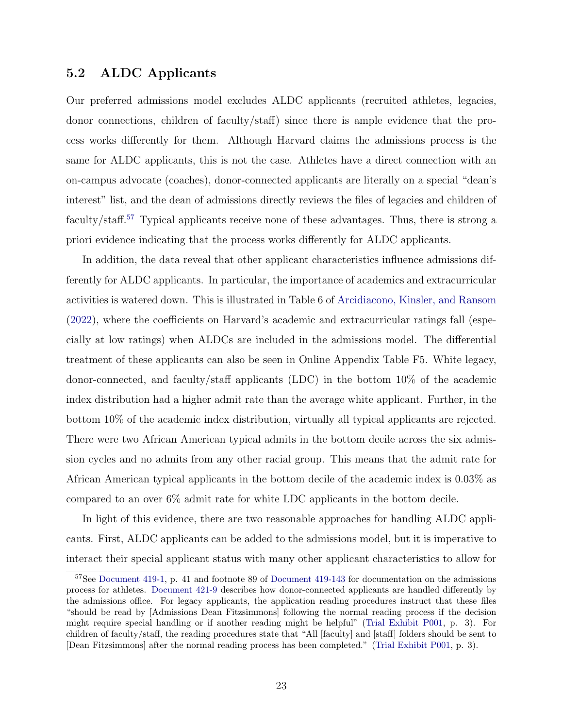### <span id="page-22-1"></span>5.2 ALDC Applicants

Our preferred admissions model excludes ALDC applicants (recruited athletes, legacies, donor connections, children of faculty/staff) since there is ample evidence that the process works differently for them. Although Harvard claims the admissions process is the same for ALDC applicants, this is not the case. Athletes have a direct connection with an on-campus advocate (coaches), donor-connected applicants are literally on a special "dean's interest" list, and the dean of admissions directly reviews the files of legacies and children of faculty/staff.<sup>[57](#page-22-0)</sup> Typical applicants receive none of these advantages. Thus, there is strong a priori evidence indicating that the process works differently for ALDC applicants.

In addition, the data reveal that other applicant characteristics influence admissions differently for ALDC applicants. In particular, the importance of academics and extracurricular activities is watered down. This is illustrated in Table 6 of [Arcidiacono, Kinsler, and Ransom](#page-30-0) [\(2022\)](#page-30-0), where the coefficients on Harvard's academic and extracurricular ratings fall (especially at low ratings) when ALDCs are included in the admissions model. The differential treatment of these applicants can also be seen in Online Appendix Table F5. White legacy, donor-connected, and faculty/staff applicants (LDC) in the bottom 10% of the academic index distribution had a higher admit rate than the average white applicant. Further, in the bottom 10% of the academic index distribution, virtually all typical applicants are rejected. There were two African American typical admits in the bottom decile across the six admission cycles and no admits from any other racial group. This means that the admit rate for African American typical applicants in the bottom decile of the academic index is 0.03% as compared to an over 6% admit rate for white LDC applicants in the bottom decile.

In light of this evidence, there are two reasonable approaches for handling ALDC applicants. First, ALDC applicants can be added to the admissions model, but it is imperative to interact their special applicant status with many other applicant characteristics to allow for

<span id="page-22-0"></span><sup>57</sup>See [Document 419-1,](#page-31-8) p. 41 and footnote 89 of [Document 419-143](#page-31-9) for documentation on the admissions process for athletes. [Document 421-9](#page-31-6) describes how donor-connected applicants are handled differently by the admissions office. For legacy applicants, the application reading procedures instruct that these files "should be read by [Admissions Dean Fitzsimmons] following the normal reading process if the decision might require special handling or if another reading might be helpful" [\(Trial Exhibit P001,](#page-33-7) p. 3). For children of faculty/staff, the reading procedures state that "All [faculty] and [staff] folders should be sent to [Dean Fitzsimmons] after the normal reading process has been completed." [\(Trial Exhibit P001,](#page-33-7) p. 3).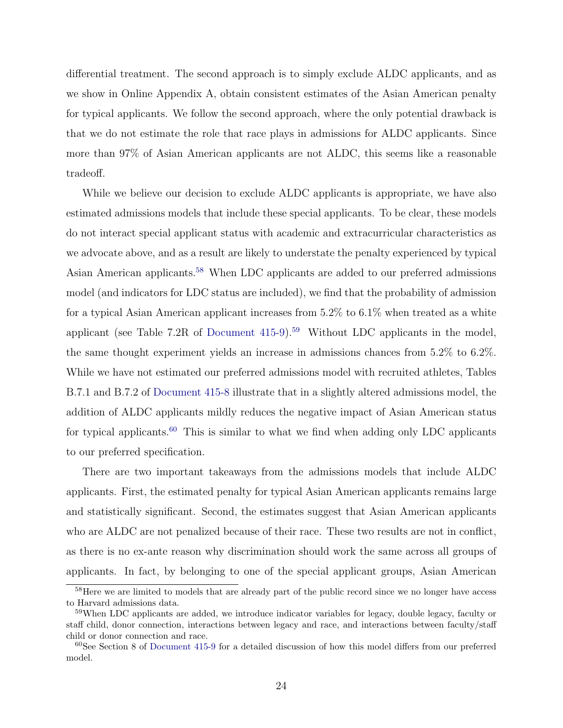<span id="page-23-3"></span>differential treatment. The second approach is to simply exclude ALDC applicants, and as we show in Online Appendix A, obtain consistent estimates of the Asian American penalty for typical applicants. We follow the second approach, where the only potential drawback is that we do not estimate the role that race plays in admissions for ALDC applicants. Since more than 97% of Asian American applicants are not ALDC, this seems like a reasonable tradeoff.

While we believe our decision to exclude ALDC applicants is appropriate, we have also estimated admissions models that include these special applicants. To be clear, these models do not interact special applicant status with academic and extracurricular characteristics as we advocate above, and as a result are likely to understate the penalty experienced by typical Asian American applicants.[58](#page-23-0) When LDC applicants are added to our preferred admissions model (and indicators for LDC status are included), we find that the probability of admission for a typical Asian American applicant increases from 5.2% to 6.1% when treated as a white applicant (see Table 7.2R of Document  $415-9$ ).<sup>[59](#page-23-1)</sup> Without LDC applicants in the model, the same thought experiment yields an increase in admissions chances from 5.2% to 6.2%. While we have not estimated our preferred admissions model with recruited athletes, Tables B.7.1 and B.7.2 of [Document 415-8](#page-31-5) illustrate that in a slightly altered admissions model, the addition of ALDC applicants mildly reduces the negative impact of Asian American status for typical applicants.<sup>[60](#page-23-2)</sup> This is similar to what we find when adding only LDC applicants to our preferred specification.

There are two important takeaways from the admissions models that include ALDC applicants. First, the estimated penalty for typical Asian American applicants remains large and statistically significant. Second, the estimates suggest that Asian American applicants who are ALDC are not penalized because of their race. These two results are not in conflict, as there is no ex-ante reason why discrimination should work the same across all groups of applicants. In fact, by belonging to one of the special applicant groups, Asian American

<span id="page-23-0"></span><sup>&</sup>lt;sup>58</sup>Here we are limited to models that are already part of the public record since we no longer have access to Harvard admissions data.

<span id="page-23-1"></span><sup>&</sup>lt;sup>59</sup>When LDC applicants are added, we introduce indicator variables for legacy, double legacy, faculty or staff child, donor connection, interactions between legacy and race, and interactions between faculty/staff child or donor connection and race.

<span id="page-23-2"></span> $60$ See Section 8 of [Document 415-9](#page-31-4) for a detailed discussion of how this model differs from our preferred model.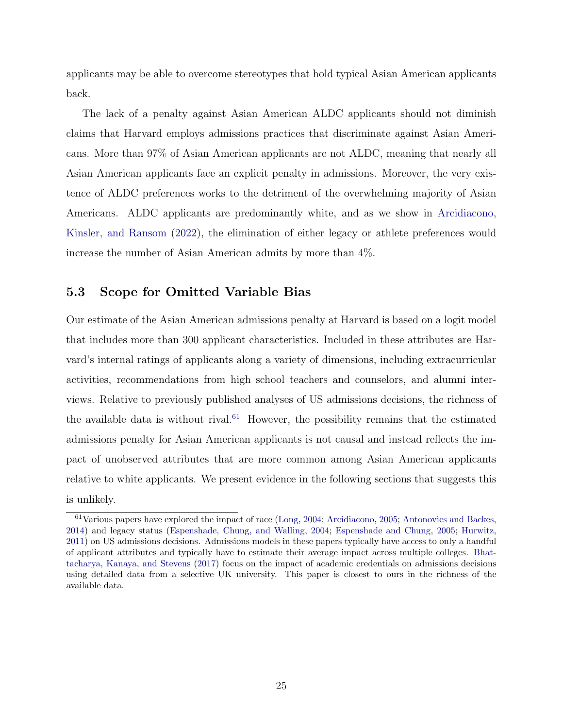<span id="page-24-1"></span>applicants may be able to overcome stereotypes that hold typical Asian American applicants back.

The lack of a penalty against Asian American ALDC applicants should not diminish claims that Harvard employs admissions practices that discriminate against Asian Americans. More than 97% of Asian American applicants are not ALDC, meaning that nearly all Asian American applicants face an explicit penalty in admissions. Moreover, the very existence of ALDC preferences works to the detriment of the overwhelming majority of Asian Americans. ALDC applicants are predominantly white, and as we show in [Arcidiacono,](#page-30-0) [Kinsler, and Ransom](#page-30-0) [\(2022\)](#page-30-0), the elimination of either legacy or athlete preferences would increase the number of Asian American admits by more than 4%.

### 5.3 Scope for Omitted Variable Bias

Our estimate of the Asian American admissions penalty at Harvard is based on a logit model that includes more than 300 applicant characteristics. Included in these attributes are Harvard's internal ratings of applicants along a variety of dimensions, including extracurricular activities, recommendations from high school teachers and counselors, and alumni interviews. Relative to previously published analyses of US admissions decisions, the richness of the available data is without rival. $61$  However, the possibility remains that the estimated admissions penalty for Asian American applicants is not causal and instead reflects the impact of unobserved attributes that are more common among Asian American applicants relative to white applicants. We present evidence in the following sections that suggests this is unlikely.

<span id="page-24-0"></span><sup>61</sup>Various papers have explored the impact of race [\(Long,](#page-33-0) [2004;](#page-33-0) [Arcidiacono,](#page-30-9) [2005;](#page-30-9) [Antonovics and Backes,](#page-30-10) [2014\)](#page-30-10) and legacy status [\(Espenshade, Chung, and Walling,](#page-32-3) [2004;](#page-32-3) [Espenshade and Chung,](#page-32-4) [2005;](#page-32-4) [Hurwitz,](#page-32-2) [2011\)](#page-32-2) on US admissions decisions. Admissions models in these papers typically have access to only a handful of applicant attributes and typically have to estimate their average impact across multiple colleges. [Bhat](#page-30-1)[tacharya, Kanaya, and Stevens](#page-30-1) [\(2017\)](#page-30-1) focus on the impact of academic credentials on admissions decisions using detailed data from a selective UK university. This paper is closest to ours in the richness of the available data.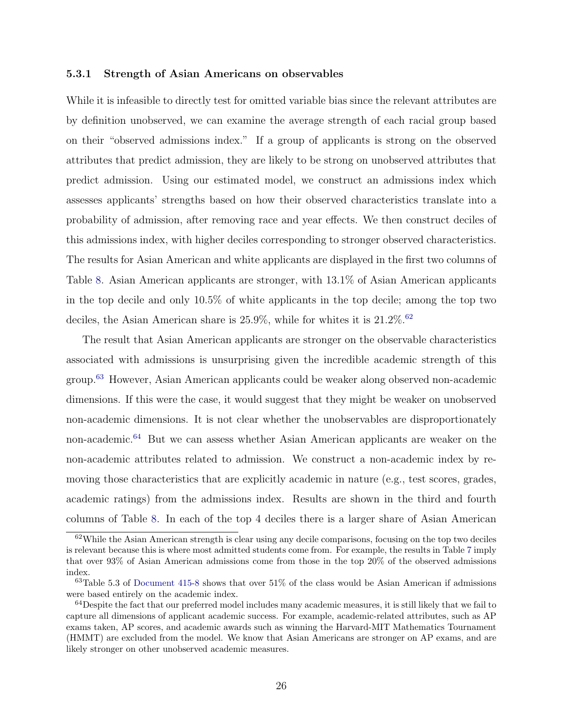#### <span id="page-25-3"></span>5.3.1 Strength of Asian Americans on observables

While it is infeasible to directly test for omitted variable bias since the relevant attributes are by definition unobserved, we can examine the average strength of each racial group based on their "observed admissions index." If a group of applicants is strong on the observed attributes that predict admission, they are likely to be strong on unobserved attributes that predict admission. Using our estimated model, we construct an admissions index which assesses applicants' strengths based on how their observed characteristics translate into a probability of admission, after removing race and year effects. We then construct deciles of this admissions index, with higher deciles corresponding to stronger observed characteristics. The results for Asian American and white applicants are displayed in the first two columns of Table [8.](#page-41-0) Asian American applicants are stronger, with 13.1% of Asian American applicants in the top decile and only 10.5% of white applicants in the top decile; among the top two deciles, the Asian American share is  $25.9\%$ , while for whites it is  $21.2\%$ .<sup>[62](#page-25-0)</sup>

The result that Asian American applicants are stronger on the observable characteristics associated with admissions is unsurprising given the incredible academic strength of this group.[63](#page-25-1) However, Asian American applicants could be weaker along observed non-academic dimensions. If this were the case, it would suggest that they might be weaker on unobserved non-academic dimensions. It is not clear whether the unobservables are disproportionately non-academic.<sup>[64](#page-25-2)</sup> But we can assess whether Asian American applicants are weaker on the non-academic attributes related to admission. We construct a non-academic index by removing those characteristics that are explicitly academic in nature (e.g., test scores, grades, academic ratings) from the admissions index. Results are shown in the third and fourth columns of Table [8.](#page-41-0) In each of the top 4 deciles there is a larger share of Asian American

<span id="page-25-0"></span> $62$ While the Asian American strength is clear using any decile comparisons, focusing on the top two deciles is relevant because this is where most admitted students come from. For example, the results in Table [7](#page-40-1) imply that over 93% of Asian American admissions come from those in the top 20% of the observed admissions index.

<span id="page-25-1"></span> $63$ Table 5.3 of [Document 415-8](#page-31-5) shows that over 51% of the class would be Asian American if admissions were based entirely on the academic index.

<span id="page-25-2"></span> $64$  Despite the fact that our preferred model includes many academic measures, it is still likely that we fail to capture all dimensions of applicant academic success. For example, academic-related attributes, such as AP exams taken, AP scores, and academic awards such as winning the Harvard-MIT Mathematics Tournament (HMMT) are excluded from the model. We know that Asian Americans are stronger on AP exams, and are likely stronger on other unobserved academic measures.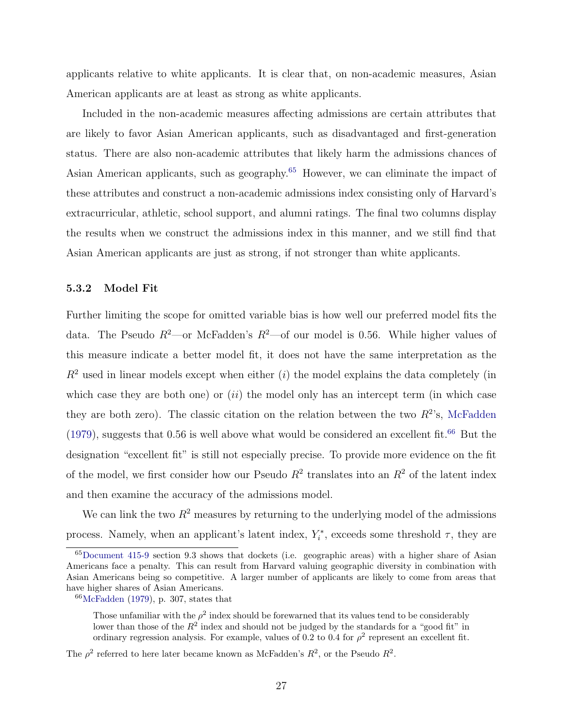<span id="page-26-2"></span>applicants relative to white applicants. It is clear that, on non-academic measures, Asian American applicants are at least as strong as white applicants.

Included in the non-academic measures affecting admissions are certain attributes that are likely to favor Asian American applicants, such as disadvantaged and first-generation status. There are also non-academic attributes that likely harm the admissions chances of Asian American applicants, such as geography.<sup>[65](#page-26-0)</sup> However, we can eliminate the impact of these attributes and construct a non-academic admissions index consisting only of Harvard's extracurricular, athletic, school support, and alumni ratings. The final two columns display the results when we construct the admissions index in this manner, and we still find that Asian American applicants are just as strong, if not stronger than white applicants.

#### 5.3.2 Model Fit

Further limiting the scope for omitted variable bias is how well our preferred model fits the data. The Pseudo  $R^2$ —or McFadden's  $R^2$ —of our model is 0.56. While higher values of this measure indicate a better model fit, it does not have the same interpretation as the  $R<sup>2</sup>$  used in linear models except when either (i) the model explains the data completely (in which case they are both one) or  $(ii)$  the model only has an intercept term (in which case they are both zero). The classic citation on the relation between the two  $R^2$ 's, [McFadden](#page-33-3) [\(1979\)](#page-33-3), suggests that 0.56 is well above what would be considered an excellent fit.<sup>[66](#page-26-1)</sup> But the designation "excellent fit" is still not especially precise. To provide more evidence on the fit of the model, we first consider how our Pseudo  $R^2$  translates into an  $R^2$  of the latent index and then examine the accuracy of the admissions model.

We can link the two  $R^2$  measures by returning to the underlying model of the admissions process. Namely, when an applicant's latent index,  $Y_i^*$ , exceeds some threshold  $\tau$ , they are

<span id="page-26-0"></span><sup>65</sup>[Document 415-9](#page-31-4) section 9.3 shows that dockets (i.e. geographic areas) with a higher share of Asian Americans face a penalty. This can result from Harvard valuing geographic diversity in combination with Asian Americans being so competitive. A larger number of applicants are likely to come from areas that have higher shares of Asian Americans.

<span id="page-26-1"></span> $66$ [McFadden](#page-33-3) [\(1979\)](#page-33-3), p. 307, states that

Those unfamiliar with the  $\rho^2$  index should be forewarned that its values tend to be considerably lower than those of the  $R^2$  index and should not be judged by the standards for a "good fit" in ordinary regression analysis. For example, values of 0.2 to 0.4 for  $\rho^2$  represent an excellent fit.

The  $\rho^2$  referred to here later became known as McFadden's  $R^2$ , or the Pseudo  $R^2$ .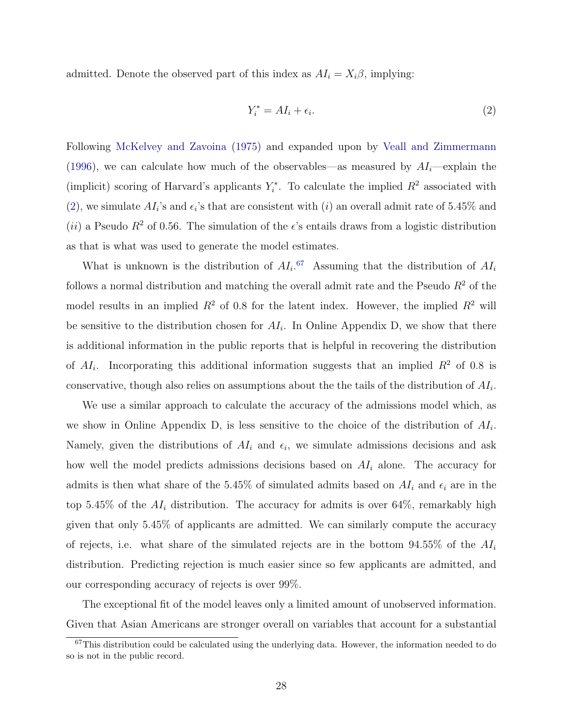<span id="page-27-2"></span>admitted. Denote the observed part of this index as  $AI_i = X_i \beta$ , implying:

<span id="page-27-0"></span>
$$
Y_i^* = A I_i + \epsilon_i. \tag{2}
$$

Following [McKelvey and Zavoina](#page-33-10) [\(1975\)](#page-33-10) and expanded upon by [Veall and Zimmermann](#page-34-5) [\(1996\)](#page-34-5), we can calculate how much of the observables—as measured by  $AI_i$ —explain the (implicit) scoring of Harvard's applicants  $Y_i^*$ . To calculate the implied  $R^2$  associated with [\(2\)](#page-27-0), we simulate  $AI_i$ 's and  $\epsilon_i$ 's that are consistent with (*i*) an overall admit rate of 5.45% and (ii) a Pseudo  $R^2$  of 0.56. The simulation of the  $\epsilon$ 's entails draws from a logistic distribution as that is what was used to generate the model estimates.

What is unknown is the distribution of  $AI_i$ .<sup>[67](#page-27-1)</sup> Assuming that the distribution of  $AI_i$ follows a normal distribution and matching the overall admit rate and the Pseudo  $R^2$  of the model results in an implied  $R^2$  of 0.8 for the latent index. However, the implied  $R^2$  will be sensitive to the distribution chosen for  $AI_i$ . In Online Appendix D, we show that there is additional information in the public reports that is helpful in recovering the distribution of  $AI_i$ . Incorporating this additional information suggests that an implied  $R^2$  of 0.8 is conservative, though also relies on assumptions about the the tails of the distribution of  $AI_i$ .

We use a similar approach to calculate the accuracy of the admissions model which, as we show in Online Appendix D, is less sensitive to the choice of the distribution of  $AI_i$ . Namely, given the distributions of  $AI_i$  and  $\epsilon_i$ , we simulate admissions decisions and ask how well the model predicts admissions decisions based on  $AI<sub>i</sub>$  alone. The accuracy for admits is then what share of the 5.45% of simulated admits based on  $AI_i$  and  $\epsilon_i$  are in the top 5.45% of the  $AI_i$  distribution. The accuracy for admits is over 64%, remarkably high given that only 5.45% of applicants are admitted. We can similarly compute the accuracy of rejects, i.e. what share of the simulated rejects are in the bottom  $94.55\%$  of the  $AI_i$ distribution. Predicting rejection is much easier since so few applicants are admitted, and our corresponding accuracy of rejects is over 99%.

The exceptional fit of the model leaves only a limited amount of unobserved information. Given that Asian Americans are stronger overall on variables that account for a substantial

<span id="page-27-1"></span> $67$ This distribution could be calculated using the underlying data. However, the information needed to do so is not in the public record.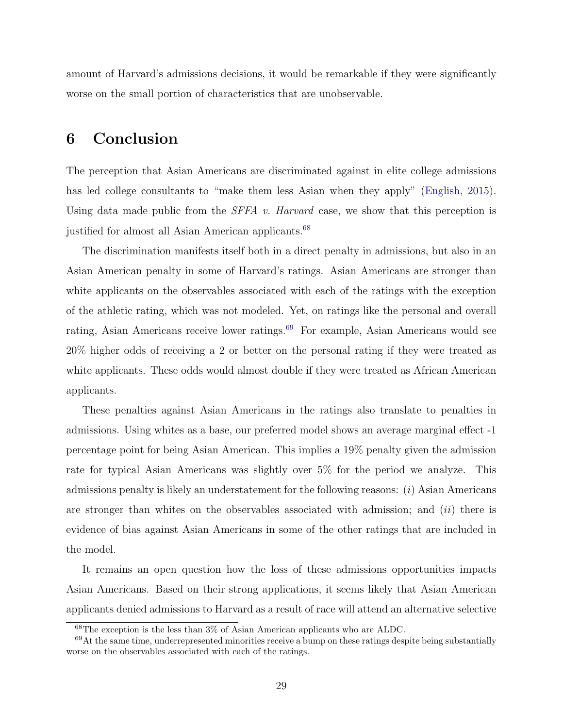<span id="page-28-2"></span>amount of Harvard's admissions decisions, it would be remarkable if they were significantly worse on the small portion of characteristics that are unobservable.

### 6 Conclusion

The perception that Asian Americans are discriminated against in elite college admissions has led college consultants to "make them less Asian when they apply" [\(English,](#page-32-10) [2015\)](#page-32-10). Using data made public from the  $SFFA$  v. Harvard case, we show that this perception is justified for almost all Asian American applicants.<sup>[68](#page-28-0)</sup>

The discrimination manifests itself both in a direct penalty in admissions, but also in an Asian American penalty in some of Harvard's ratings. Asian Americans are stronger than white applicants on the observables associated with each of the ratings with the exception of the athletic rating, which was not modeled. Yet, on ratings like the personal and overall rating, Asian Americans receive lower ratings.<sup>[69](#page-28-1)</sup> For example, Asian Americans would see 20% higher odds of receiving a 2 or better on the personal rating if they were treated as white applicants. These odds would almost double if they were treated as African American applicants.

These penalties against Asian Americans in the ratings also translate to penalties in admissions. Using whites as a base, our preferred model shows an average marginal effect -1 percentage point for being Asian American. This implies a 19% penalty given the admission rate for typical Asian Americans was slightly over 5% for the period we analyze. This admissions penalty is likely an understatement for the following reasons: (i) Asian Americans are stronger than whites on the observables associated with admission; and  $(ii)$  there is evidence of bias against Asian Americans in some of the other ratings that are included in the model.

It remains an open question how the loss of these admissions opportunities impacts Asian Americans. Based on their strong applications, it seems likely that Asian American applicants denied admissions to Harvard as a result of race will attend an alternative selective

<span id="page-28-1"></span><span id="page-28-0"></span><sup>68</sup>The exception is the less than 3% of Asian American applicants who are ALDC.

 $69$ At the same time, underrepresented minorities receive a bump on these ratings despite being substantially worse on the observables associated with each of the ratings.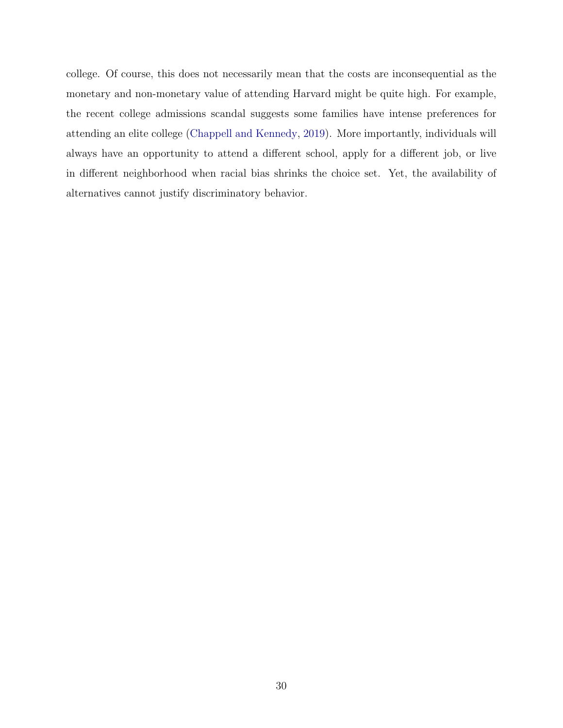<span id="page-29-0"></span>college. Of course, this does not necessarily mean that the costs are inconsequential as the monetary and non-monetary value of attending Harvard might be quite high. For example, the recent college admissions scandal suggests some families have intense preferences for attending an elite college [\(Chappell and Kennedy,](#page-30-11) [2019\)](#page-30-11). More importantly, individuals will always have an opportunity to attend a different school, apply for a different job, or live in different neighborhood when racial bias shrinks the choice set. Yet, the availability of alternatives cannot justify discriminatory behavior.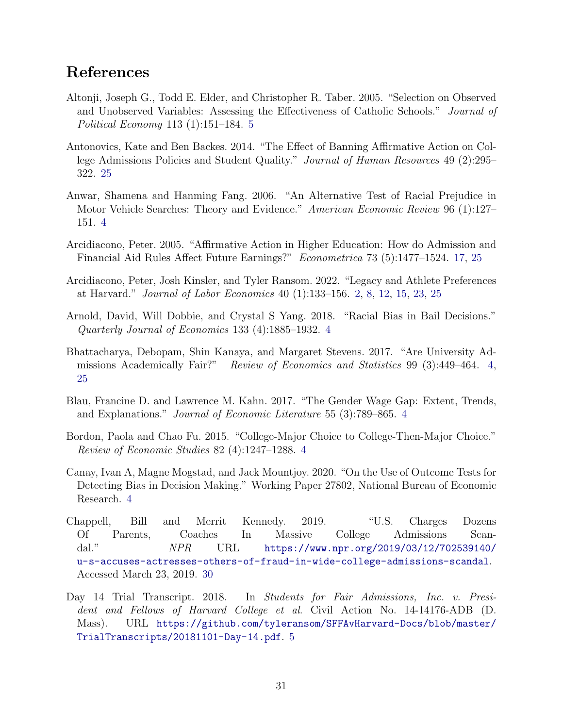### References

- <span id="page-30-7"></span>Altonji, Joseph G., Todd E. Elder, and Christopher R. Taber. 2005. "Selection on Observed and Unobserved Variables: Assessing the Effectiveness of Catholic Schools." Journal of Political Economy 113 (1):151–184. [5](#page-4-2)
- <span id="page-30-10"></span>Antonovics, Kate and Ben Backes. 2014. "The Effect of Banning Affirmative Action on College Admissions Policies and Student Quality." Journal of Human Resources 49 (2):295– 322. [25](#page-24-1)
- <span id="page-30-4"></span>Anwar, Shamena and Hanming Fang. 2006. "An Alternative Test of Racial Prejudice in Motor Vehicle Searches: Theory and Evidence." American Economic Review 96 (1):127– 151. [4](#page-3-5)
- <span id="page-30-9"></span>Arcidiacono, Peter. 2005. "Affirmative Action in Higher Education: How do Admission and Financial Aid Rules Affect Future Earnings?" Econometrica 73 (5):1477–1524. [17,](#page-16-2) [25](#page-24-1)
- <span id="page-30-0"></span>Arcidiacono, Peter, Josh Kinsler, and Tyler Ransom. 2022. "Legacy and Athlete Preferences at Harvard." Journal of Labor Economics 40 (1):133–156. [2,](#page-1-1) [8,](#page-7-5) [12,](#page-11-4) [15,](#page-14-3) [23,](#page-22-1) [25](#page-24-1)
- <span id="page-30-5"></span>Arnold, David, Will Dobbie, and Crystal S Yang. 2018. "Racial Bias in Bail Decisions." Quarterly Journal of Economics 133 (4):1885–1932. [4](#page-3-5)
- <span id="page-30-1"></span>Bhattacharya, Debopam, Shin Kanaya, and Margaret Stevens. 2017. "Are University Admissions Academically Fair?" Review of Economics and Statistics 99 (3):449–464. [4,](#page-3-5) [25](#page-24-1)
- <span id="page-30-2"></span>Blau, Francine D. and Lawrence M. Kahn. 2017. "The Gender Wage Gap: Extent, Trends, and Explanations." Journal of Economic Literature 55 (3):789–865. [4](#page-3-5)
- <span id="page-30-3"></span>Bordon, Paola and Chao Fu. 2015. "College-Major Choice to College-Then-Major Choice." Review of Economic Studies 82 (4):1247–1288. [4](#page-3-5)
- <span id="page-30-6"></span>Canay, Ivan A, Magne Mogstad, and Jack Mountjoy. 2020. "On the Use of Outcome Tests for Detecting Bias in Decision Making." Working Paper 27802, National Bureau of Economic Research. [4](#page-3-5)
- <span id="page-30-11"></span>Chappell, Bill and Merrit Kennedy. 2019. "U.S. Charges Dozens Of Parents, Coaches In Massive College Admissions Scandal." NPR URL [https://www.npr.org/2019/03/12/702539140/](https://www.npr.org/2019/03/12/702539140/u-s-accuses-actresses-others-of-fraud-in-wide-college-admissions-scandal) [u-s-accuses-actresses-others-of-fraud-in-wide-college-admissions-scandal](https://www.npr.org/2019/03/12/702539140/u-s-accuses-actresses-others-of-fraud-in-wide-college-admissions-scandal). Accessed March 23, 2019. [30](#page-29-0)
- <span id="page-30-8"></span>Day 14 Trial Transcript. 2018. In Students for Fair Admissions, Inc. v. President and Fellows of Harvard College et al. Civil Action No. 14-14176-ADB (D. Mass). URL [https://github.com/tyleransom/SFFAvHarvard-Docs/blob/master/](https://github.com/tyleransom/SFFAvHarvard-Docs/blob/master/TrialTranscripts/20181101-Day-14.pdf) [TrialTranscripts/20181101-Day-14.pdf](https://github.com/tyleransom/SFFAvHarvard-Docs/blob/master/TrialTranscripts/20181101-Day-14.pdf). [5](#page-4-2)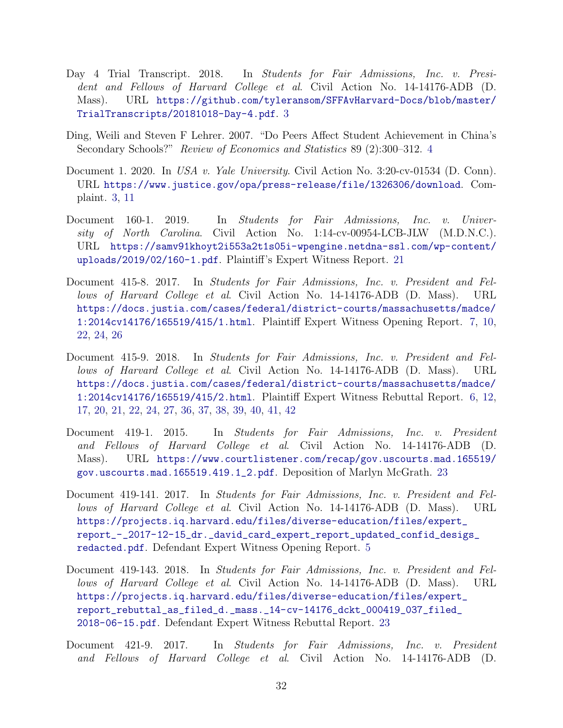- <span id="page-31-10"></span><span id="page-31-0"></span>Day 4 Trial Transcript. 2018. In Students for Fair Admissions, Inc. v. President and Fellows of Harvard College et al. Civil Action No. 14-14176-ADB (D. Mass). URL [https://github.com/tyleransom/SFFAvHarvard-Docs/blob/master/](https://github.com/tyleransom/SFFAvHarvard-Docs/blob/master/TrialTranscripts/20181018-Day-4.pdf) [TrialTranscripts/20181018-Day-4.pdf](https://github.com/tyleransom/SFFAvHarvard-Docs/blob/master/TrialTranscripts/20181018-Day-4.pdf). [3](#page-2-2)
- <span id="page-31-2"></span>Ding, Weili and Steven F Lehrer. 2007. "Do Peers Affect Student Achievement in China's Secondary Schools?" Review of Economics and Statistics 89 (2):300–312. [4](#page-3-5)
- <span id="page-31-1"></span>Document 1. 2020. In USA v. Yale University. Civil Action No. 3:20-cv-01534 (D. Conn). URL <https://www.justice.gov/opa/press-release/file/1326306/download>. Complaint. [3,](#page-2-2) [11](#page-10-4)
- <span id="page-31-7"></span>Document 160-1. 2019. In Students for Fair Admissions, Inc. v. University of North Carolina. Civil Action No. 1:14-cv-00954-LCB-JLW (M.D.N.C.). URL [https://samv91khoyt2i553a2t1s05i-wpengine.netdna-ssl.com/wp-content/](https://samv91khoyt2i553a2t1s05i-wpengine.netdna-ssl.com/wp-content/uploads/2019/02/160-1.pdf) [uploads/2019/02/160-1.pdf](https://samv91khoyt2i553a2t1s05i-wpengine.netdna-ssl.com/wp-content/uploads/2019/02/160-1.pdf). Plaintiff's Expert Witness Report. [21](#page-20-3)
- <span id="page-31-5"></span>Document 415-8. 2017. In Students for Fair Admissions, Inc. v. President and Fellows of Harvard College et al. Civil Action No. 14-14176-ADB (D. Mass). URL [https://docs.justia.com/cases/federal/district-courts/massachusetts/madce/](https://docs.justia.com/cases/federal/district-courts/massachusetts/madce/1:2014cv14176/165519/415/1.html) [1:2014cv14176/165519/415/1.html](https://docs.justia.com/cases/federal/district-courts/massachusetts/madce/1:2014cv14176/165519/415/1.html). Plaintiff Expert Witness Opening Report. [7,](#page-6-2) [10,](#page-9-4) [22,](#page-21-3) [24,](#page-23-3) [26](#page-25-3)
- <span id="page-31-4"></span>Document 415-9. 2018. In Students for Fair Admissions, Inc. v. President and Fellows of Harvard College et al. Civil Action No. 14-14176-ADB (D. Mass). URL [https://docs.justia.com/cases/federal/district-courts/massachusetts/madce/](https://docs.justia.com/cases/federal/district-courts/massachusetts/madce/1:2014cv14176/165519/415/2.html) [1:2014cv14176/165519/415/2.html](https://docs.justia.com/cases/federal/district-courts/massachusetts/madce/1:2014cv14176/165519/415/2.html). Plaintiff Expert Witness Rebuttal Report. [6,](#page-5-2) [12,](#page-11-4) [17,](#page-16-2) [20,](#page-19-2) [21,](#page-20-3) [22,](#page-21-3) [24,](#page-23-3) [27,](#page-26-2) [36,](#page-35-1) [37,](#page-36-2) [38,](#page-37-1) [39,](#page-38-1) [40,](#page-39-1) [41,](#page-40-2) [42](#page-41-1)
- <span id="page-31-8"></span>Document 419-1. 2015. In Students for Fair Admissions, Inc. v. President and Fellows of Harvard College et al. Civil Action No. 14-14176-ADB (D. Mass). URL [https://www.courtlistener.com/recap/gov.uscourts.mad.165519/](https://www.courtlistener.com/recap/gov.uscourts.mad.165519/gov.uscourts.mad.165519.419.1_2.pdf) [gov.uscourts.mad.165519.419.1\\_2.pdf](https://www.courtlistener.com/recap/gov.uscourts.mad.165519/gov.uscourts.mad.165519.419.1_2.pdf). Deposition of Marlyn McGrath. [23](#page-22-1)
- <span id="page-31-3"></span>Document 419-141. 2017. In Students for Fair Admissions, Inc. v. President and Fellows of Harvard College et al. Civil Action No. 14-14176-ADB (D. Mass). URL [https://projects.iq.harvard.edu/files/diverse-education/files/expert\\_](https://projects.iq.harvard.edu/files/diverse-education/files/expert_report_-_2017-12-15_dr._david_card_expert_report_updated_confid_desigs_redacted.pdf) [report\\_-\\_2017-12-15\\_dr.\\_david\\_card\\_expert\\_report\\_updated\\_confid\\_desigs\\_](https://projects.iq.harvard.edu/files/diverse-education/files/expert_report_-_2017-12-15_dr._david_card_expert_report_updated_confid_desigs_redacted.pdf) [redacted.pdf](https://projects.iq.harvard.edu/files/diverse-education/files/expert_report_-_2017-12-15_dr._david_card_expert_report_updated_confid_desigs_redacted.pdf). Defendant Expert Witness Opening Report. [5](#page-4-2)
- <span id="page-31-9"></span>Document 419-143. 2018. In Students for Fair Admissions, Inc. v. President and Fellows of Harvard College et al. Civil Action No. 14-14176-ADB (D. Mass). URL [https://projects.iq.harvard.edu/files/diverse-education/files/expert\\_](https://projects.iq.harvard.edu/files/diverse-education/files/expert_report_rebuttal_as_filed_d._mass._14-cv-14176_dckt_000419_037_filed_2018-06-15.pdf) [report\\_rebuttal\\_as\\_filed\\_d.\\_mass.\\_14-cv-14176\\_dckt\\_000419\\_037\\_filed\\_](https://projects.iq.harvard.edu/files/diverse-education/files/expert_report_rebuttal_as_filed_d._mass._14-cv-14176_dckt_000419_037_filed_2018-06-15.pdf) [2018-06-15.pdf](https://projects.iq.harvard.edu/files/diverse-education/files/expert_report_rebuttal_as_filed_d._mass._14-cv-14176_dckt_000419_037_filed_2018-06-15.pdf). Defendant Expert Witness Rebuttal Report. [23](#page-22-1)
- <span id="page-31-6"></span>Document 421-9. 2017. In Students for Fair Admissions, Inc. v. President and Fellows of Harvard College et al. Civil Action No. 14-14176-ADB (D.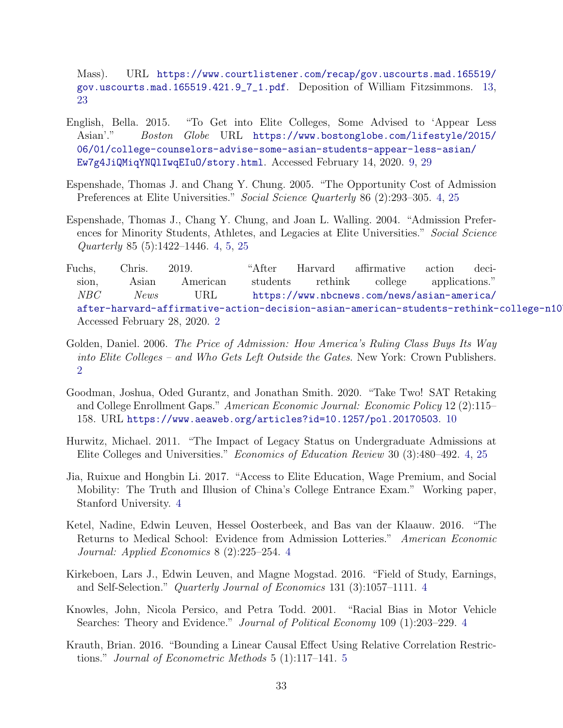Mass). URL [https://www.courtlistener.com/recap/gov.uscourts.mad.165519/](https://www.courtlistener.com/recap/gov.uscourts.mad.165519/gov.uscourts.mad.165519.421.9_7_1.pdf) [gov.uscourts.mad.165519.421.9\\_7\\_1.pdf](https://www.courtlistener.com/recap/gov.uscourts.mad.165519/gov.uscourts.mad.165519.421.9_7_1.pdf). Deposition of William Fitzsimmons. [13,](#page-12-2) [23](#page-22-1)

- <span id="page-32-10"></span>English, Bella. 2015. "To Get into Elite Colleges, Some Advised to 'Appear Less Asian'." Boston Globe URL [https://www.bostonglobe.com/lifestyle/2015/](https://www.bostonglobe.com/lifestyle/2015/06/01/college-counselors-advise-some-asian-students-appear-less-asian/Ew7g4JiQMiqYNQlIwqEIuO/story.html) [06/01/college-counselors-advise-some-asian-students-appear-less-asian/](https://www.bostonglobe.com/lifestyle/2015/06/01/college-counselors-advise-some-asian-students-appear-less-asian/Ew7g4JiQMiqYNQlIwqEIuO/story.html) [Ew7g4JiQMiqYNQlIwqEIuO/story.html](https://www.bostonglobe.com/lifestyle/2015/06/01/college-counselors-advise-some-asian-students-appear-less-asian/Ew7g4JiQMiqYNQlIwqEIuO/story.html). Accessed February 14, 2020. [9,](#page-8-3) [29](#page-28-2)
- <span id="page-32-4"></span>Espenshade, Thomas J. and Chang Y. Chung. 2005. "The Opportunity Cost of Admission Preferences at Elite Universities." Social Science Quarterly 86 (2):293–305. [4,](#page-3-5) [25](#page-24-1)
- <span id="page-32-3"></span>Espenshade, Thomas J., Chang Y. Chung, and Joan L. Walling. 2004. "Admission Preferences for Minority Students, Athletes, and Legacies at Elite Universities." Social Science Quarterly 85 (5):1422–1446. [4,](#page-3-5) [5,](#page-4-2) [25](#page-24-1)
- <span id="page-32-1"></span>Fuchs, Chris. 2019. "After Harvard affirmative action decision, Asian American students rethink college applications." NBC News URL [https://www.nbcnews.com/news/asian-america/](https://www.nbcnews.com/news/asian-america/after-harvard-affirmative-action-decision-asian-american-students-rethink-college-n1073376) after-harvard-affirmative-action-decision-asian-american-students-rethink-college-n10 Accessed February 28, 2020. [2](#page-1-1)
- <span id="page-32-0"></span>Golden, Daniel. 2006. The Price of Admission: How America's Ruling Class Buys Its Way into Elite Colleges – and Who Gets Left Outside the Gates. New York: Crown Publishers. [2](#page-1-1)
- <span id="page-32-11"></span>Goodman, Joshua, Oded Gurantz, and Jonathan Smith. 2020. "Take Two! SAT Retaking and College Enrollment Gaps." American Economic Journal: Economic Policy 12 (2):115– 158. URL <https://www.aeaweb.org/articles?id=10.1257/pol.20170503>. [10](#page-9-4)
- <span id="page-32-2"></span>Hurwitz, Michael. 2011. "The Impact of Legacy Status on Undergraduate Admissions at Elite Colleges and Universities." Economics of Education Review 30 (3):480–492. [4,](#page-3-5) [25](#page-24-1)
- <span id="page-32-5"></span>Jia, Ruixue and Hongbin Li. 2017. "Access to Elite Education, Wage Premium, and Social Mobility: The Truth and Illusion of China's College Entrance Exam." Working paper, Stanford University. [4](#page-3-5)
- <span id="page-32-6"></span>Ketel, Nadine, Edwin Leuven, Hessel Oosterbeek, and Bas van der Klaauw. 2016. "The Returns to Medical School: Evidence from Admission Lotteries." American Economic Journal: Applied Economics 8 (2):225–254. [4](#page-3-5)
- <span id="page-32-7"></span>Kirkeboen, Lars J., Edwin Leuven, and Magne Mogstad. 2016. "Field of Study, Earnings, and Self-Selection." Quarterly Journal of Economics 131 (3):1057–1111. [4](#page-3-5)
- <span id="page-32-8"></span>Knowles, John, Nicola Persico, and Petra Todd. 2001. "Racial Bias in Motor Vehicle Searches: Theory and Evidence." Journal of Political Economy 109 (1):203–229. [4](#page-3-5)
- <span id="page-32-9"></span>Krauth, Brian. 2016. "Bounding a Linear Causal Effect Using Relative Correlation Restrictions." Journal of Econometric Methods 5 (1):117–141. [5](#page-4-2)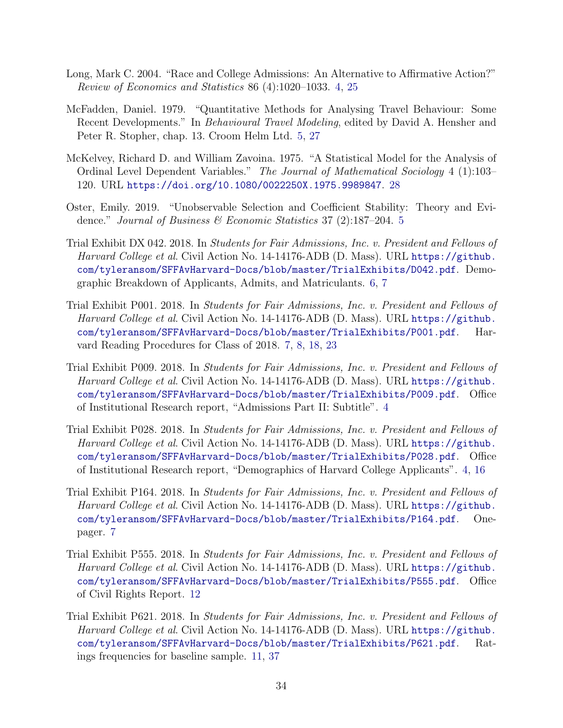- <span id="page-33-0"></span>Long, Mark C. 2004. "Race and College Admissions: An Alternative to Affirmative Action?" Review of Economics and Statistics 86 (4):1020–1033. [4,](#page-3-5) [25](#page-24-1)
- <span id="page-33-3"></span>McFadden, Daniel. 1979. "Quantitative Methods for Analysing Travel Behaviour: Some Recent Developments." In Behavioural Travel Modeling, edited by David A. Hensher and Peter R. Stopher, chap. 13. Croom Helm Ltd. [5,](#page-4-2) [27](#page-26-2)
- <span id="page-33-10"></span>McKelvey, Richard D. and William Zavoina. 1975. "A Statistical Model for the Analysis of Ordinal Level Dependent Variables." The Journal of Mathematical Sociology 4 (1):103– 120. URL <https://doi.org/10.1080/0022250X.1975.9989847>. [28](#page-27-2)
- <span id="page-33-4"></span>Oster, Emily. 2019. "Unobservable Selection and Coefficient Stability: Theory and Evidence." Journal of Business & Economic Statistics 37 (2):187–204. [5](#page-4-2)
- <span id="page-33-5"></span>Trial Exhibit DX 042. 2018. In Students for Fair Admissions, Inc. v. President and Fellows of Harvard College et al. Civil Action No. 14-14176-ADB (D. Mass). URL [https://github.](https://github.com/tyleransom/SFFAvHarvard-Docs/blob/master/TrialExhibits/D042.pdf) [com/tyleransom/SFFAvHarvard-Docs/blob/master/TrialExhibits/D042.pdf](https://github.com/tyleransom/SFFAvHarvard-Docs/blob/master/TrialExhibits/D042.pdf). Demographic Breakdown of Applicants, Admits, and Matriculants. [6,](#page-5-2) [7](#page-6-2)
- <span id="page-33-7"></span>Trial Exhibit P001. 2018. In Students for Fair Admissions, Inc. v. President and Fellows of Harvard College et al. Civil Action No. 14-14176-ADB (D. Mass). URL [https://github.](https://github.com/tyleransom/SFFAvHarvard-Docs/blob/master/TrialExhibits/P001.pdf) [com/tyleransom/SFFAvHarvard-Docs/blob/master/TrialExhibits/P001.pdf](https://github.com/tyleransom/SFFAvHarvard-Docs/blob/master/TrialExhibits/P001.pdf). Harvard Reading Procedures for Class of 2018. [7,](#page-6-2) [8,](#page-7-5) [18,](#page-17-5) [23](#page-22-1)
- <span id="page-33-1"></span>Trial Exhibit P009. 2018. In Students for Fair Admissions, Inc. v. President and Fellows of Harvard College et al. Civil Action No. 14-14176-ADB (D. Mass). URL [https://github.](https://github.com/tyleransom/SFFAvHarvard-Docs/blob/master/TrialExhibits/P009.pdf) [com/tyleransom/SFFAvHarvard-Docs/blob/master/TrialExhibits/P009.pdf](https://github.com/tyleransom/SFFAvHarvard-Docs/blob/master/TrialExhibits/P009.pdf). Office of Institutional Research report, "Admissions Part II: Subtitle". [4](#page-3-5)
- <span id="page-33-2"></span>Trial Exhibit P028. 2018. In Students for Fair Admissions, Inc. v. President and Fellows of Harvard College et al. Civil Action No. 14-14176-ADB (D. Mass). URL [https://github.](https://github.com/tyleransom/SFFAvHarvard-Docs/blob/master/TrialExhibits/P028.pdf) [com/tyleransom/SFFAvHarvard-Docs/blob/master/TrialExhibits/P028.pdf](https://github.com/tyleransom/SFFAvHarvard-Docs/blob/master/TrialExhibits/P028.pdf). Office of Institutional Research report, "Demographics of Harvard College Applicants". [4,](#page-3-5) [16](#page-15-2)
- <span id="page-33-6"></span>Trial Exhibit P164. 2018. In Students for Fair Admissions, Inc. v. President and Fellows of Harvard College et al. Civil Action No. 14-14176-ADB (D. Mass). URL [https://github.](https://github.com/tyleransom/SFFAvHarvard-Docs/blob/master/TrialExhibits/P164.pdf) [com/tyleransom/SFFAvHarvard-Docs/blob/master/TrialExhibits/P164.pdf](https://github.com/tyleransom/SFFAvHarvard-Docs/blob/master/TrialExhibits/P164.pdf). Onepager. [7](#page-6-2)
- <span id="page-33-9"></span>Trial Exhibit P555. 2018. In Students for Fair Admissions, Inc. v. President and Fellows of Harvard College et al. Civil Action No. 14-14176-ADB (D. Mass). URL [https://github.](https://github.com/tyleransom/SFFAvHarvard-Docs/blob/master/TrialExhibits/P555.pdf) [com/tyleransom/SFFAvHarvard-Docs/blob/master/TrialExhibits/P555.pdf](https://github.com/tyleransom/SFFAvHarvard-Docs/blob/master/TrialExhibits/P555.pdf). Office of Civil Rights Report. [12](#page-11-4)
- <span id="page-33-8"></span>Trial Exhibit P621. 2018. In Students for Fair Admissions, Inc. v. President and Fellows of Harvard College et al. Civil Action No. 14-14176-ADB (D. Mass). URL [https://github.](https://github.com/tyleransom/SFFAvHarvard-Docs/blob/master/TrialExhibits/P621.pdf) [com/tyleransom/SFFAvHarvard-Docs/blob/master/TrialExhibits/P621.pdf](https://github.com/tyleransom/SFFAvHarvard-Docs/blob/master/TrialExhibits/P621.pdf). Ratings frequencies for baseline sample. [11,](#page-10-4) [37](#page-36-2)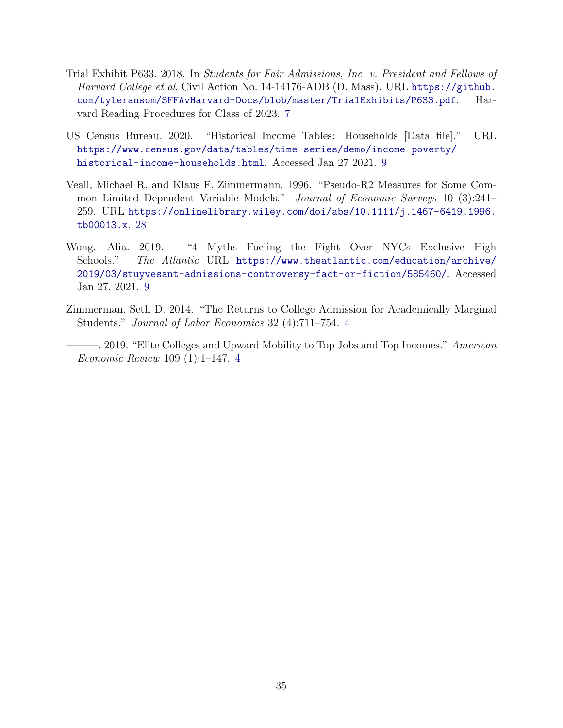- <span id="page-34-2"></span>Trial Exhibit P633. 2018. In Students for Fair Admissions, Inc. v. President and Fellows of Harvard College et al. Civil Action No. 14-14176-ADB (D. Mass). URL [https://github.](https://github.com/tyleransom/SFFAvHarvard-Docs/blob/master/TrialExhibits/P633.pdf) [com/tyleransom/SFFAvHarvard-Docs/blob/master/TrialExhibits/P633.pdf](https://github.com/tyleransom/SFFAvHarvard-Docs/blob/master/TrialExhibits/P633.pdf). Harvard Reading Procedures for Class of 2023. [7](#page-6-2)
- <span id="page-34-3"></span>US Census Bureau. 2020. "Historical Income Tables: Households [Data file]." URL [https://www.census.gov/data/tables/time-series/demo/income-poverty/](https://www.census.gov/data/tables/time-series/demo/income-poverty/historical-income-households.html) [historical-income-households.html](https://www.census.gov/data/tables/time-series/demo/income-poverty/historical-income-households.html). Accessed Jan 27 2021. [9](#page-8-3)
- <span id="page-34-5"></span>Veall, Michael R. and Klaus F. Zimmermann. 1996. "Pseudo-R2 Measures for Some Common Limited Dependent Variable Models." Journal of Economic Surveys 10 (3):241– 259. URL [https://onlinelibrary.wiley.com/doi/abs/10.1111/j.1467-6419.1996.](https://onlinelibrary.wiley.com/doi/abs/10.1111/j.1467-6419.1996.tb00013.x) [tb00013.x](https://onlinelibrary.wiley.com/doi/abs/10.1111/j.1467-6419.1996.tb00013.x). [28](#page-27-2)
- <span id="page-34-4"></span>Wong, Alia. 2019. "4 Myths Fueling the Fight Over NYCs Exclusive High Schools." The Atlantic URL [https://www.theatlantic.com/education/archive/](https://www.theatlantic.com/education/archive/2019/03/stuyvesant-admissions-controversy-fact-or-fiction/585460/) [2019/03/stuyvesant-admissions-controversy-fact-or-fiction/585460/](https://www.theatlantic.com/education/archive/2019/03/stuyvesant-admissions-controversy-fact-or-fiction/585460/). Accessed Jan 27, 2021. [9](#page-8-3)
- <span id="page-34-0"></span>Zimmerman, Seth D. 2014. "The Returns to College Admission for Academically Marginal Students." Journal of Labor Economics 32 (4):711–754. [4](#page-3-5)
- <span id="page-34-1"></span>-. 2019. "Elite Colleges and Upward Mobility to Top Jobs and Top Incomes." American Economic Review 109 (1):1–147. [4](#page-3-5)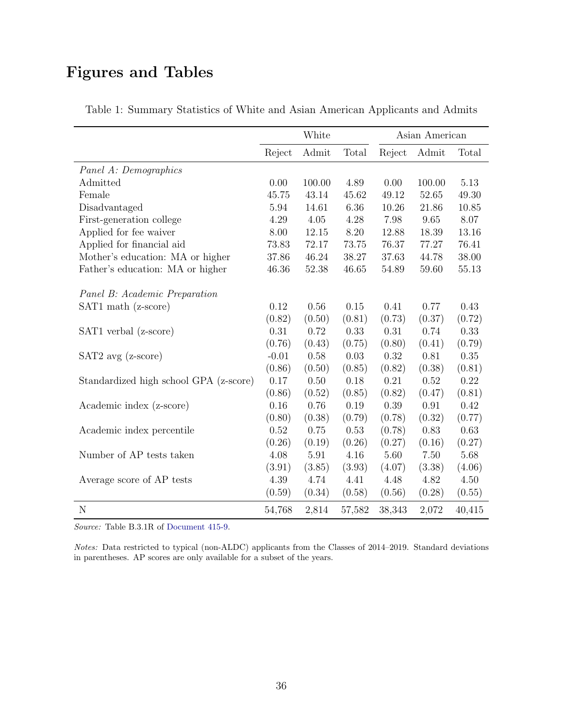# <span id="page-35-1"></span>Figures and Tables

|                                        |         | White  |        | Asian American |        |          |
|----------------------------------------|---------|--------|--------|----------------|--------|----------|
|                                        | Reject  | Admit  | Total  | Reject         | Admit  | Total    |
| Panel A: Demographics                  |         |        |        |                |        |          |
| Admitted                               | 0.00    | 100.00 | 4.89   | 0.00           | 100.00 | 5.13     |
| Female                                 | 45.75   | 43.14  | 45.62  | 49.12          | 52.65  | 49.30    |
| Disadvantaged                          | 5.94    | 14.61  | 6.36   | 10.26          | 21.86  | 10.85    |
| First-generation college               | 4.29    | 4.05   | 4.28   | 7.98           | 9.65   | 8.07     |
| Applied for fee waiver                 | 8.00    | 12.15  | 8.20   | 12.88          | 18.39  | 13.16    |
| Applied for financial aid              | 73.83   | 72.17  | 73.75  | 76.37          | 77.27  | 76.41    |
| Mother's education: MA or higher       | 37.86   | 46.24  | 38.27  | 37.63          | 44.78  | 38.00    |
| Father's education: MA or higher       | 46.36   | 52.38  | 46.65  | 54.89          | 59.60  | 55.13    |
| Panel B: Academic Preparation          |         |        |        |                |        |          |
| SAT1 math (z-score)                    | 0.12    | 0.56   | 0.15   | 0.41           | 0.77   | 0.43     |
|                                        | (0.82)  | (0.50) | (0.81) | (0.73)         | (0.37) | (0.72)   |
| SAT1 verbal (z-score)                  | 0.31    | 0.72   | 0.33   | 0.31           | 0.74   | 0.33     |
|                                        | (0.76)  | (0.43) | (0.75) | (0.80)         | (0.41) | (0.79)   |
| $SAT2$ avg $(z\text{-score})$          | $-0.01$ | 0.58   | 0.03   | 0.32           | 0.81   | 0.35     |
|                                        | (0.86)  | (0.50) | (0.85) | (0.82)         | (0.38) | (0.81)   |
| Standardized high school GPA (z-score) | 0.17    | 0.50   | 0.18   | 0.21           | 0.52   | $0.22\,$ |
|                                        | (0.86)  | (0.52) | (0.85) | (0.82)         | (0.47) | (0.81)   |
| Academic index (z-score)               | 0.16    | 0.76   | 0.19   | 0.39           | 0.91   | 0.42     |
|                                        | (0.80)  | (0.38) | (0.79) | (0.78)         | (0.32) | (0.77)   |
| Academic index percentile              | 0.52    | 0.75   | 0.53   | (0.78)         | 0.83   | 0.63     |
|                                        | (0.26)  | (0.19) | (0.26) | (0.27)         | (0.16) | (0.27)   |
| Number of AP tests taken               | 4.08    | 5.91   | 4.16   | 5.60           | 7.50   | 5.68     |
|                                        | (3.91)  | (3.85) | (3.93) | (4.07)         | (3.38) | (4.06)   |
| Average score of AP tests              | 4.39    | 4.74   | 4.41   | 4.48           | 4.82   | 4.50     |
|                                        | (0.59)  | (0.34) | (0.58) | (0.56)         | (0.28) | (0.55)   |
| $\mathbf N$                            | 54,768  | 2,814  | 57,582 | 38,343         | 2,072  | 40,415   |

<span id="page-35-0"></span>Table 1: Summary Statistics of White and Asian American Applicants and Admits

Source: Table B.3.1R of [Document 415-9.](#page-31-4)

Notes: Data restricted to typical (non-ALDC) applicants from the Classes of 2014–2019. Standard deviations in parentheses. AP scores are only available for a subset of the years.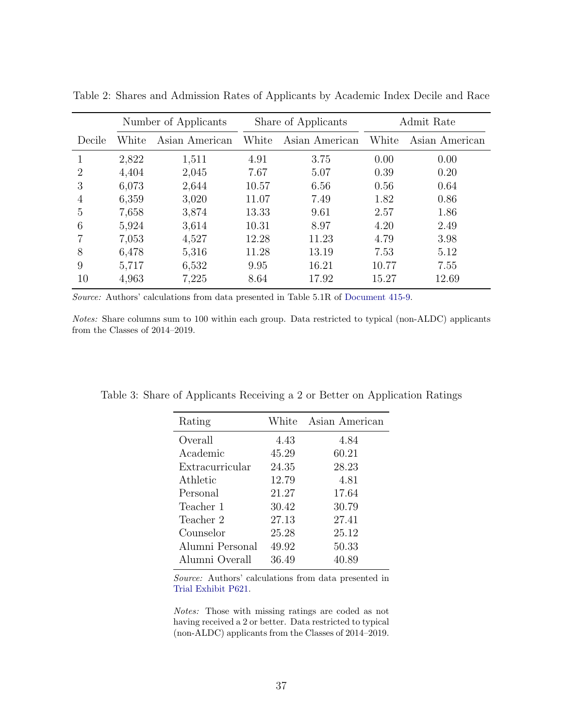|        | Number of Applicants |                |       | Share of Applicants | Admit Rate |                |  |
|--------|----------------------|----------------|-------|---------------------|------------|----------------|--|
| Decile | White                | Asian American | White | Asian American      | White      | Asian American |  |
| 1      | 2,822                | 1,511          | 4.91  | 3.75                | 0.00       | 0.00           |  |
| 2      | 4,404                | 2,045          | 7.67  | 5.07                | 0.39       | 0.20           |  |
| 3      | 6,073                | 2,644          | 10.57 | 6.56                | 0.56       | 0.64           |  |
| 4      | 6,359                | 3,020          | 11.07 | 7.49                | 1.82       | 0.86           |  |
| 5      | 7,658                | 3,874          | 13.33 | 9.61                | 2.57       | 1.86           |  |
| 6      | 5,924                | 3,614          | 10.31 | 8.97                | 4.20       | 2.49           |  |
|        | 7,053                | 4,527          | 12.28 | 11.23               | 4.79       | 3.98           |  |
| 8      | 6,478                | 5,316          | 11.28 | 13.19               | 7.53       | 5.12           |  |
| 9      | 5,717                | 6,532          | 9.95  | 16.21               | 10.77      | 7.55           |  |
| 10     | 4,963                | 7,225          | 8.64  | 17.92               | 15.27      | 12.69          |  |

<span id="page-36-2"></span><span id="page-36-0"></span>Table 2: Shares and Admission Rates of Applicants by Academic Index Decile and Race

Source: Authors' calculations from data presented in Table 5.1R of [Document 415-9.](#page-31-4)

Notes: Share columns sum to 100 within each group. Data restricted to typical (non-ALDC) applicants from the Classes of 2014–2019.

| Rating          | White | Asian American |
|-----------------|-------|----------------|
| Overall         | 4.43  | 4.84           |
| Academic        | 45.29 | 60.21          |
| Extracurricular | 24.35 | 28.23          |
| Athletic        | 12.79 | 4.81           |
| Personal        | 21.27 | 17.64          |
| Teacher 1       | 30.42 | 30.79          |
| Teacher 2       | 27.13 | 27.41          |
| Counselor       | 25.28 | 25.12          |
| Alumni Personal | 49.92 | 50.33          |
| Alumni Overall  | 36.49 | 40.89          |

<span id="page-36-1"></span>Table 3: Share of Applicants Receiving a 2 or Better on Application Ratings

Source: Authors' calculations from data presented in [Trial Exhibit P621.](#page-33-8)

Notes: Those with missing ratings are coded as not having received a 2 or better. Data restricted to typical (non-ALDC) applicants from the Classes of 2014–2019.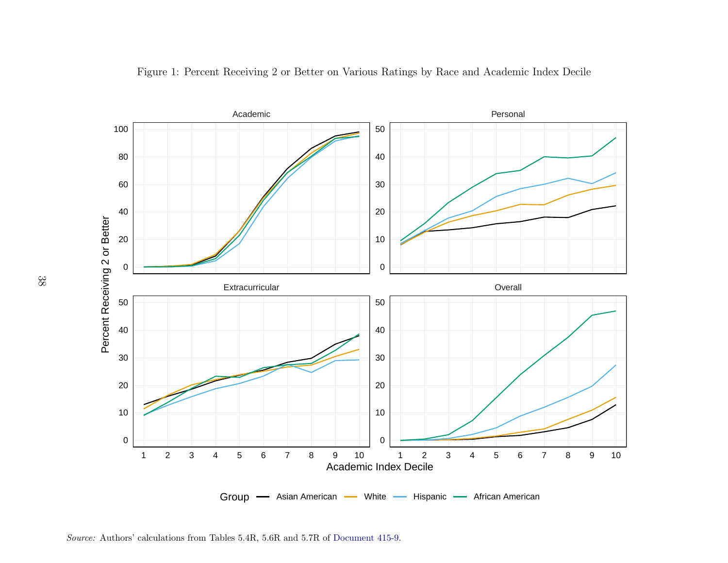<span id="page-37-1"></span>

<span id="page-37-0"></span>Figure 1: Percent Receiving 2 or Better on Various Ratings by Race and Academic Index Decile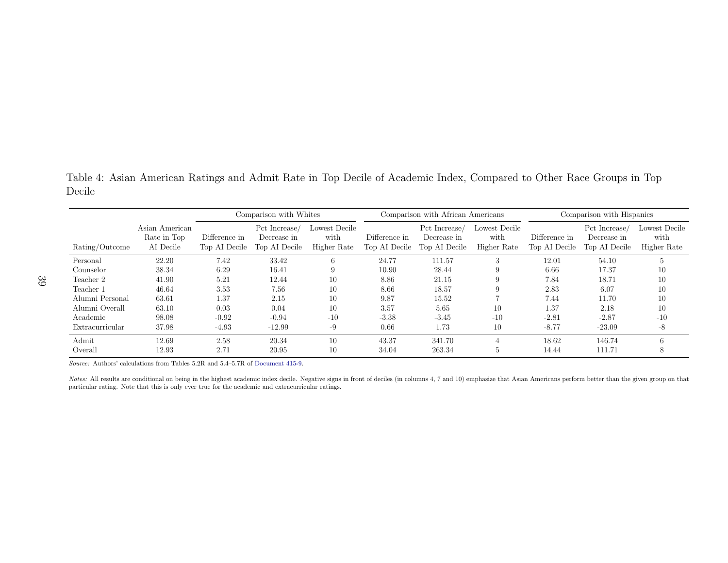<span id="page-38-1"></span>Table 4: Asian American Ratings and Admit Rate in Top Decile of Academic Index, Compared to Other Race Groups in TopDecile

|                 |                                            | Comparison with Whites         |                                               |                                      | Comparison with African Americans |                                               |                                      | Comparison with Hispanics      |                                              |                                      |
|-----------------|--------------------------------------------|--------------------------------|-----------------------------------------------|--------------------------------------|-----------------------------------|-----------------------------------------------|--------------------------------------|--------------------------------|----------------------------------------------|--------------------------------------|
| Rating/Outcome  | Asian American<br>Rate in Top<br>AI Decile | Difference in<br>Top AI Decile | Pct Increase/<br>Decrease in<br>Top AI Decile | Lowest Decile<br>with<br>Higher Rate | Difference in<br>Top AI Decile    | Pct Increase/<br>Decrease in<br>Top AI Decile | Lowest Decile<br>with<br>Higher Rate | Difference in<br>Top AI Decile | Pct Increase<br>Decrease in<br>Top AI Decile | Lowest Decile<br>with<br>Higher Rate |
| Personal        | 22.20                                      | 7.42                           | 33.42                                         | 6                                    | 24.77                             | 111.57                                        | 3                                    | 12.01                          | 54.10                                        | 5                                    |
| Counselor       | 38.34                                      | 6.29                           | 16.41                                         |                                      | 10.90                             | 28.44                                         | 9                                    | 6.66                           | 17.37                                        | 10                                   |
| Teacher 2       | 41.90                                      | 5.21                           | 12.44                                         | 10                                   | 8.86                              | 21.15                                         | 9                                    | 7.84                           | 18.71                                        | 10                                   |
| Teacher 1       | 46.64                                      | 3.53                           | 7.56                                          | 10                                   | 8.66                              | 18.57                                         | 9                                    | 2.83                           | 6.07                                         | 10                                   |
| Alumni Personal | 63.61                                      | 1.37                           | 2.15                                          | 10                                   | 9.87                              | 15.52                                         |                                      | 7.44                           | 11.70                                        | 10                                   |
| Alumni Overall  | 63.10                                      | 0.03                           | 0.04                                          | 10                                   | 3.57                              | 5.65                                          | 10                                   | 1.37                           | 2.18                                         | 10                                   |
| Academic        | 98.08                                      | $-0.92$                        | $-0.94$                                       | $-10$                                | $-3.38$                           | $-3.45$                                       | $-10$                                | $-2.81$                        | $-2.87$                                      | $-10$                                |
| Extracurricular | 37.98                                      | $-4.93$                        | $-12.99$                                      | -9                                   | 0.66                              | 1.73                                          | 10                                   | $-8.77$                        | $-23.09$                                     | -8                                   |
| Admit           | 12.69                                      | 2.58                           | 20.34                                         | 10                                   | 43.37                             | 341.70                                        |                                      | 18.62                          | 146.74                                       | 6                                    |
| Overall         | 12.93                                      | 2.71                           | 20.95                                         | 10                                   | 34.04                             | 263.34                                        | Ð                                    | 14.44                          | 111.71                                       | 8                                    |

Source: Authors' calculations from Tables 5.2R and 5.4–5.7R of [Document](#page-31-10) 415-9.

<span id="page-38-0"></span>Notes: All results are conditional on being in the highest academic index decile. Negative signs in front of deciles (in columns 4, 7 and 10) emphasize that Asian Americans perform better than the given group on that particular rating. Note that this is only ever true for the academic and extracurricular ratings.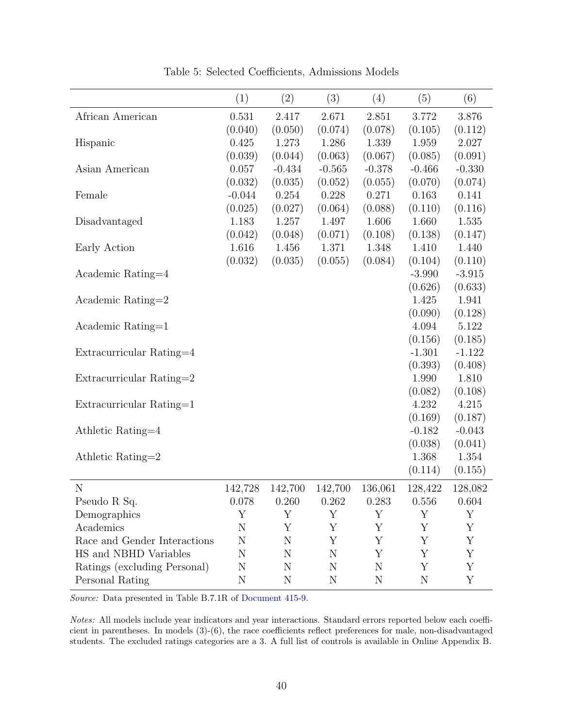<span id="page-39-1"></span><span id="page-39-0"></span>

|                              | (1)         | (2)      | (3)       | (4)         | (5)         | (6)      |
|------------------------------|-------------|----------|-----------|-------------|-------------|----------|
| African American             | 0.531       | 2.417    | 2.671     | 2.851       | 3.772       | 3.876    |
|                              | (0.040)     | (0.050)  | (0.074)   | (0.078)     | (0.105)     | (0.112)  |
| Hispanic                     | 0.425       | 1.273    | 1.286     | 1.339       | 1.959       | 2.027    |
|                              | (0.039)     | (0.044)  | (0.063)   | (0.067)     | (0.085)     | (0.091)  |
| Asian American               | 0.057       | $-0.434$ | $-0.565$  | $-0.378$    | $-0.466$    | $-0.330$ |
|                              | (0.032)     | (0.035)  | (0.052)   | (0.055)     | (0.070)     | (0.074)  |
| Female                       | $-0.044$    | 0.254    | 0.228     | 0.271       | 0.163       | 0.141    |
|                              | (0.025)     | (0.027)  | (0.064)   | (0.088)     | (0.110)     | (0.116)  |
| Disadvantaged                | 1.183       | 1.257    | 1.497     | 1.606       | 1.660       | 1.535    |
|                              | (0.042)     | (0.048)  | (0.071)   | (0.108)     | (0.138)     | (0.147)  |
| Early Action                 | 1.616       | 1.456    | 1.371     | 1.348       | 1.410       | 1.440    |
|                              | (0.032)     | (0.035)  | (0.055)   | (0.084)     | (0.104)     | (0.110)  |
| Academic Rating=4            |             |          |           |             | $-3.990$    | $-3.915$ |
|                              |             |          |           |             | (0.626)     | (0.633)  |
| Academic Rating=2            |             |          |           |             | 1.425       | 1.941    |
|                              |             |          |           |             | (0.090)     | (0.128)  |
| Academic Rating=1            |             |          |           |             | 4.094       | 5.122    |
|                              |             |          |           |             | (0.156)     | (0.185)  |
| Extracurricular Rating=4     |             |          |           |             | $-1.301$    | $-1.122$ |
|                              |             |          |           |             | (0.393)     | (0.408)  |
| Extracurricular Rating=2     |             |          |           |             | 1.990       | 1.810    |
|                              |             |          |           |             | (0.082)     | (0.108)  |
| Extracurricular Rating=1     |             |          |           |             | 4.232       | 4.215    |
|                              |             |          |           |             | (0.169)     | (0.187)  |
| Athletic Rating=4            |             |          |           |             | $-0.182$    | $-0.043$ |
|                              |             |          |           |             | (0.038)     | (0.041)  |
| Athletic Rating=2            |             |          |           |             | 1.368       | 1.354    |
|                              |             |          |           |             | (0.114)     | (0.155)  |
| $\mathbf N$                  | 142,728     | 142,700  | 142,700   | 136,061     | 128,422     | 128,082  |
| Pseudo R Sq.                 | 0.078       | 0.260    | 0.262     | 0.283       | 0.556       | 0.604    |
| Demographics                 | Υ           | Υ        | Y         | Y           | Υ           | Y        |
| Academics                    | N           | Υ        | Υ         | Υ           | Υ           | Υ        |
| Race and Gender Interactions | N           | N        | Y         | Υ           | Υ           | Υ        |
| HS and NBHD Variables        | N           | N        | N         | Υ           | Υ           | Υ        |
| Ratings (excluding Personal) | N           | N        | N         | N           | Υ           | Υ        |
| Personal Rating              | $\mathbf N$ | N        | ${\rm N}$ | $\mathbf N$ | $\mathbf N$ | Υ        |

Table 5: Selected Coefficients, Admissions Models

Source: Data presented in Table B.7.1R of [Document 415-9.](#page-31-4)

Notes: All models include year indicators and year interactions. Standard errors reported below each coefficient in parentheses. In models (3)-(6), the race coefficients reflect preferences for male, non-disadvantaged students. The excluded ratings categories are a 3. A full list of controls is available in Online Appendix B.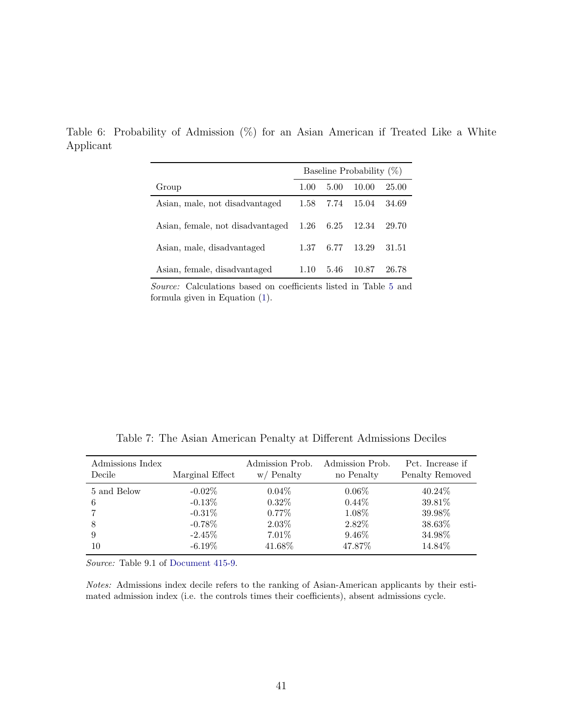|                                  | Baseline Probability $(\%)$ |      |       |       |  |
|----------------------------------|-----------------------------|------|-------|-------|--|
| Group                            | 1.00                        | 5.00 | 10.00 | 25.00 |  |
| Asian, male, not disadvantaged   | 1.58                        | 7.74 | 15.04 | 34.69 |  |
| Asian, female, not disadvantaged | 1.26                        | 6.25 | 12.34 | 29.70 |  |
| Asian, male, disadvantaged       | 1.37                        | 6.77 | 13.29 | 31.51 |  |
| Asian, female, disadvantaged     | 110                         | 5.46 | 10.87 | 26.78 |  |

<span id="page-40-2"></span><span id="page-40-0"></span>Table 6: Probability of Admission (%) for an Asian American if Treated Like a White Applicant

Source: Calculations based on coefficients listed in Table [5](#page-39-0) and formula given in Equation [\(1\)](#page-18-1).

Table 7: The Asian American Penalty at Different Admissions Deciles

<span id="page-40-1"></span>

| Admissions Index      | Marginal Effect                                  | Admission Prob.                           | Admission Prob.                         | Pct. Increase if                        |
|-----------------------|--------------------------------------------------|-------------------------------------------|-----------------------------------------|-----------------------------------------|
| Decile                |                                                  | $w/$ Penalty                              | no Penalty                              | Penalty Removed                         |
| 5 and Below<br>6<br>8 | $-0.02\%$<br>$-0.13\%$<br>$-0.31\%$<br>$-0.78\%$ | $0.04\%$<br>$0.32\%$<br>$0.77\%$<br>2.03% | $0.06\%$<br>$0.44\%$<br>1.08%<br>2.82\% | $40.24\%$<br>39.81%<br>39.98%<br>38.63% |
| 9                     | $-2.45\%$                                        | $7.01\%$                                  | $9.46\%$                                | 34.98%                                  |
| 10                    | $-6.19\%$                                        | 41.68%                                    | 47.87\%                                 | 14.84\%                                 |

Source: Table 9.1 of [Document 415-9.](#page-31-4)

Notes: Admissions index decile refers to the ranking of Asian-American applicants by their estimated admission index (i.e. the controls times their coefficients), absent admissions cycle.